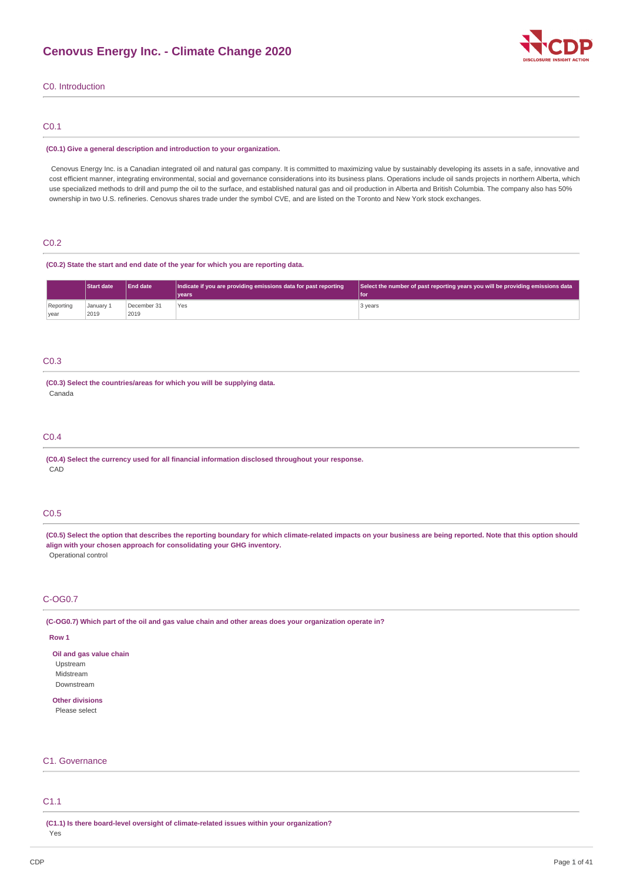

## C0. Introduction

### C0.1

#### **(C0.1) Give a general description and introduction to your organization.**

Cenovus Energy Inc. is a Canadian integrated oil and natural gas company. It is committed to maximizing value by sustainably developing its assets in a safe, innovative and cost efficient manner, integrating environmental, social and governance considerations into its business plans. Operations include oil sands projects in northern Alberta, which use specialized methods to drill and pump the oil to the surface, and established natural gas and oil production in Alberta and British Columbia. The company also has 50% ownership in two U.S. refineries. Cenovus shares trade under the symbol CVE, and are listed on the Toronto and New York stock exchanges.

### C0.2

#### **(C0.2) State the start and end date of the year for which you are reporting data.**

|                   | <b>Start date</b> | <b>End date</b>     | Indicate if you are providing emissions data for past reporting<br>l vears | Select the number of past reporting years you will be providing emissions data<br>l for |
|-------------------|-------------------|---------------------|----------------------------------------------------------------------------|-----------------------------------------------------------------------------------------|
| Reporting<br>year | January 1<br>2019 | December 31<br>2019 | Yes                                                                        | 3 years                                                                                 |

### C0.3

### **(C0.3) Select the countries/areas for which you will be supplying data.** Canada

### C0.4

**(C0.4) Select the currency used for all financial information disclosed throughout your response.** CAD

### C0.5

(C0.5) Select the option that describes the reporting boundary for which climate-related impacts on your business are being reported. Note that this option should **align with your chosen approach for consolidating your GHG inventory.** Operational control

## C-OG0.7

(C-OG0.7) Which part of the oil and gas value chain and other areas does your organization operate in?

### **Row 1**

**Oil and gas value chain** Upstream Midstream Downstream

# **Other divisions**

Please select

# C1. Governance

# C1.1

**(C1.1) Is there board-level oversight of climate-related issues within your organization?**

Yes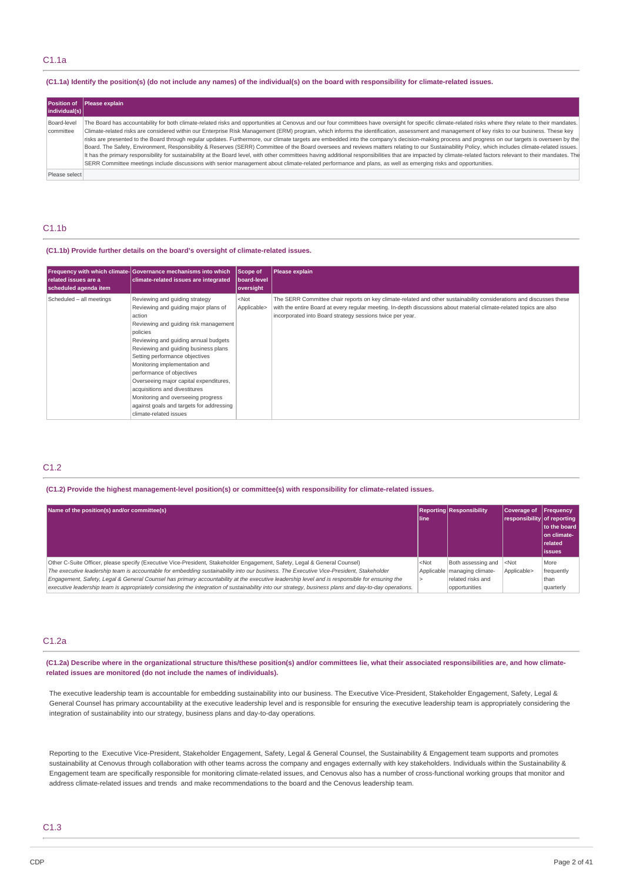### (C1.1a) Identify the position(s) (do not include any names) of the individual(s) on the board with responsibility for climate-related issues.

| <b>Position of</b><br>individual(s) | Please explain                                                                                                                                                                                                                                                                                                                                                                                                                                                                                                                                                                                                                                                                                                                                                                                                                                                                                                                                                                                                                                                                                                                                                                                        |
|-------------------------------------|-------------------------------------------------------------------------------------------------------------------------------------------------------------------------------------------------------------------------------------------------------------------------------------------------------------------------------------------------------------------------------------------------------------------------------------------------------------------------------------------------------------------------------------------------------------------------------------------------------------------------------------------------------------------------------------------------------------------------------------------------------------------------------------------------------------------------------------------------------------------------------------------------------------------------------------------------------------------------------------------------------------------------------------------------------------------------------------------------------------------------------------------------------------------------------------------------------|
| Board-level<br>committee            | The Board has accountability for both climate-related risks and opportunities at Cenovus and our four committees have oversight for specific climate-related risks where they relate to their mandates.<br>Climate-related risks are considered within our Enterprise Risk Management (ERM) program, which informs the identification, assessment and management of key risks to our business. These key<br>risks are presented to the Board through regular updates. Furthermore, our climate targets are embedded into the company's decision-making process and progress on our targets is overseen by the<br>Board. The Safety, Environment, Responsibility & Reserves (SERR) Committee of the Board oversees and reviews matters relating to our Sustainability Policy, which includes climate-related issues.<br>It has the primary responsibility for sustainability at the Board level, with other committees having additional responsibilities that are impacted by climate-related factors relevant to their mandates. The<br>SERR Committee meetings include discussions with senior management about climate-related performance and plans, as well as emerging risks and opportunities. |
| Please select                       |                                                                                                                                                                                                                                                                                                                                                                                                                                                                                                                                                                                                                                                                                                                                                                                                                                                                                                                                                                                                                                                                                                                                                                                                       |

# C1.1b

### **(C1.1b) Provide further details on the board's oversight of climate-related issues.**

| related issues are a<br>scheduled agenda item | Frequency with which climate-Governance mechanisms into which<br>climate-related issues are integrated                                                                                                                                                                                                                                                                                                                                                                                                       | Scope of<br>board-level<br>oversight | Please explain                                                                                                                                                                                                                                                                                          |
|-----------------------------------------------|--------------------------------------------------------------------------------------------------------------------------------------------------------------------------------------------------------------------------------------------------------------------------------------------------------------------------------------------------------------------------------------------------------------------------------------------------------------------------------------------------------------|--------------------------------------|---------------------------------------------------------------------------------------------------------------------------------------------------------------------------------------------------------------------------------------------------------------------------------------------------------|
| Scheduled - all meetings                      | Reviewing and guiding strategy<br>Reviewing and guiding major plans of<br>action<br>Reviewing and guiding risk management<br>policies<br>Reviewing and guiding annual budgets<br>Reviewing and guiding business plans<br>Setting performance objectives<br>Monitoring implementation and<br>performance of objectives<br>Overseeing major capital expenditures,<br>acquisitions and divestitures<br>Monitoring and overseeing progress<br>against goals and targets for addressing<br>climate-related issues | $<$ Not<br>Applicable>               | The SERR Committee chair reports on key climate-related and other sustainability considerations and discusses these<br>with the entire Board at every regular meeting. In-depth discussions about material climate-related topics are also<br>incorporated into Board strategy sessions twice per year. |

# C1.2

### **(C1.2) Provide the highest management-level position(s) or committee(s) with responsibility for climate-related issues.**

| Name of the position(s) and/or committee(s)                                                                                                                                                                                                                                                                                                                                                                                                                                                                                                                                  | line    | <b>Reporting Responsibility</b>                                                            | Coverage of<br>responsibility of reporting | Frequency<br>to the board<br>on climate-<br>  related<br>l issues |
|------------------------------------------------------------------------------------------------------------------------------------------------------------------------------------------------------------------------------------------------------------------------------------------------------------------------------------------------------------------------------------------------------------------------------------------------------------------------------------------------------------------------------------------------------------------------------|---------|--------------------------------------------------------------------------------------------|--------------------------------------------|-------------------------------------------------------------------|
| Other C-Suite Officer, please specify (Executive Vice-President, Stakeholder Engagement, Safety, Legal & General Counsel)<br>The executive leadership team is accountable for embedding sustainability into our business. The Executive Vice-President, Stakeholder<br>Engagement, Safety, Legal & General Counsel has primary accountability at the executive leadership level and is responsible for ensuring the<br>executive leadership team is appropriately considering the integration of sustainability into our strategy, business plans and day-to-day operations. | $<$ Not | Both assessing and<br>Applicable   managing climate-<br>related risks and<br>opportunities | $<$ Not<br>Applicable>                     | More<br>frequently<br>than<br>quarterly                           |

### C1.2a

(C1.2a) Describe where in the organizational structure this/these position(s) and/or committees lie, what their associated responsibilities are, and how climate**related issues are monitored (do not include the names of individuals).**

The executive leadership team is accountable for embedding sustainability into our business. The Executive Vice-President, Stakeholder Engagement, Safety, Legal & General Counsel has primary accountability at the executive leadership level and is responsible for ensuring the executive leadership team is appropriately considering the integration of sustainability into our strategy, business plans and day-to-day operations.

Reporting to the Executive Vice-President, Stakeholder Engagement, Safety, Legal & General Counsel, the Sustainability & Engagement team supports and promotes sustainability at Cenovus through collaboration with other teams across the company and engages externally with key stakeholders. Individuals within the Sustainability & Engagement team are specifically responsible for monitoring climate-related issues, and Cenovus also has a number of cross-functional working groups that monitor and address climate-related issues and trends and make recommendations to the board and the Cenovus leadership team.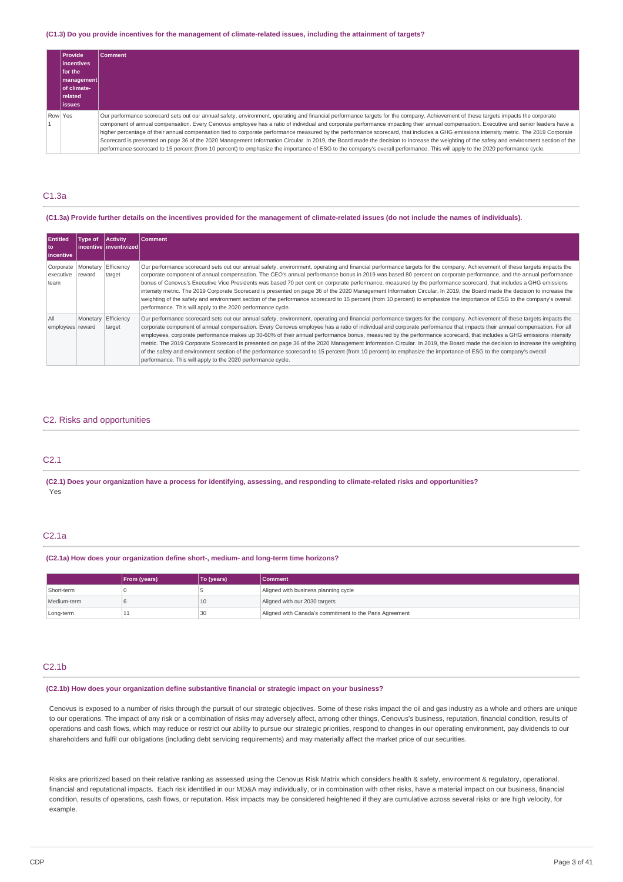#### (C1.3) Do you provide incentives for the management of climate-related issues, including the attainment of targets?

| <b>Provide</b><br>lincentives<br>for the<br>  management  <br>l of climate-<br><b>related</b><br>lissues | Comment                                                                                                                                                                                                                                                                                                                                                                                                                                                                                                                                                                                                                                                                                                                                                                                                                                                                                                                                              |
|----------------------------------------------------------------------------------------------------------|------------------------------------------------------------------------------------------------------------------------------------------------------------------------------------------------------------------------------------------------------------------------------------------------------------------------------------------------------------------------------------------------------------------------------------------------------------------------------------------------------------------------------------------------------------------------------------------------------------------------------------------------------------------------------------------------------------------------------------------------------------------------------------------------------------------------------------------------------------------------------------------------------------------------------------------------------|
| Row Yes                                                                                                  | Our performance scorecard sets out our annual safety, environment, operating and financial performance targets for the company. Achievement of these targets impacts the corporate<br>component of annual compensation. Every Cenovus employee has a ratio of individual and corporate performance impacting their annual compensation. Executive and senior leaders have a<br>higher percentage of their annual compensation tied to corporate performance measured by the performance scorecard, that includes a GHG emissions intensity metric. The 2019 Corporate<br>Scorecard is presented on page 36 of the 2020 Management Information Circular. In 2019, the Board made the decision to increase the weighting of the safety and environment section of the<br>performance scorecard to 15 percent (from 10 percent) to emphasize the importance of ESG to the company's overall performance. This will apply to the 2020 performance cycle. |

### C1.3a

#### (C1.3a) Provide further details on the incentives provided for the management of climate-related issues (do not include the names of individuals).

| <b>Entitled</b><br>l to<br>incentive | Type of                       | <b>Activity</b><br>l incentive l inventivized l | <b>Comment</b>                                                                                                                                                                                                                                                                                                                                                                                                                                                                                                                                                                                                                                                                                                                                                                                                                                                                                                                           |
|--------------------------------------|-------------------------------|-------------------------------------------------|------------------------------------------------------------------------------------------------------------------------------------------------------------------------------------------------------------------------------------------------------------------------------------------------------------------------------------------------------------------------------------------------------------------------------------------------------------------------------------------------------------------------------------------------------------------------------------------------------------------------------------------------------------------------------------------------------------------------------------------------------------------------------------------------------------------------------------------------------------------------------------------------------------------------------------------|
| Corporate<br>executive<br>team       | Monetary Efficiency<br>reward | target                                          | Our performance scorecard sets out our annual safety, environment, operating and financial performance targets for the company. Achievement of these targets impacts the<br>corporate component of annual compensation. The CEO's annual performance bonus in 2019 was based 80 percent on corporate performance, and the annual performance<br>bonus of Cenovus's Executive Vice Presidents was based 70 per cent on corporate performance, measured by the performance scorecard, that includes a GHG emissions<br>intensity metric. The 2019 Corporate Scorecard is presented on page 36 of the 2020 Management Information Circular. In 2019, the Board made the decision to increase the<br>weighting of the safety and environment section of the performance scorecard to 15 percent (from 10 percent) to emphasize the importance of ESG to the company's overall<br>performance. This will apply to the 2020 performance cycle. |
| All<br>employees reward              | Monetary Efficiency           | target                                          | Our performance scorecard sets out our annual safety, environment, operating and financial performance targets for the company. Achievement of these targets impacts the<br>corporate component of annual compensation. Every Cenovus employee has a ratio of individual and corporate performance that impacts their annual compensation. For all<br>employees, corporate performance makes up 30-60% of their annual performance bonus, measured by the performance scorecard, that includes a GHG emissions intensity<br>metric. The 2019 Corporate Scorecard is presented on page 36 of the 2020 Management Information Circular. In 2019, the Board made the decision to increase the weighting<br>of the safety and environment section of the performance scorecard to 15 percent (from 10 percent) to emphasize the importance of ESG to the company's overall<br>performance. This will apply to the 2020 performance cycle.    |

### C2. Risks and opportunities

### C2.1

(C2.1) Does your organization have a process for identifying, assessing, and responding to climate-related risks and opportunities? Yes

# C2.1a

#### **(C2.1a) How does your organization define short-, medium- and long-term time horizons?**

|             | <b>From (years)</b> | To (years) | <b>Comment</b>                                          |
|-------------|---------------------|------------|---------------------------------------------------------|
| Short-term  |                     |            | Aligned with business planning cycle                    |
| Medium-term |                     | 10         | Aligned with our 2030 targets                           |
| Long-term   |                     | 30         | Aligned with Canada's commitment to the Paris Agreement |

#### C2.1b

### **(C2.1b) How does your organization define substantive financial or strategic impact on your business?**

Cenovus is exposed to a number of risks through the pursuit of our strategic objectives. Some of these risks impact the oil and gas industry as a whole and others are unique to our operations. The impact of any risk or a combination of risks may adversely affect, among other things, Cenovus's business, reputation, financial condition, results of operations and cash flows, which may reduce or restrict our ability to pursue our strategic priorities, respond to changes in our operating environment, pay dividends to our shareholders and fulfil our obligations (including debt servicing requirements) and may materially affect the market price of our securities.

Risks are prioritized based on their relative ranking as assessed using the Cenovus Risk Matrix which considers health & safety, environment & regulatory, operational, financial and reputational impacts. Each risk identified in our MD&A may individually, or in combination with other risks, have a material impact on our business, financial condition, results of operations, cash flows, or reputation. Risk impacts may be considered heightened if they are cumulative across several risks or are high velocity, for example.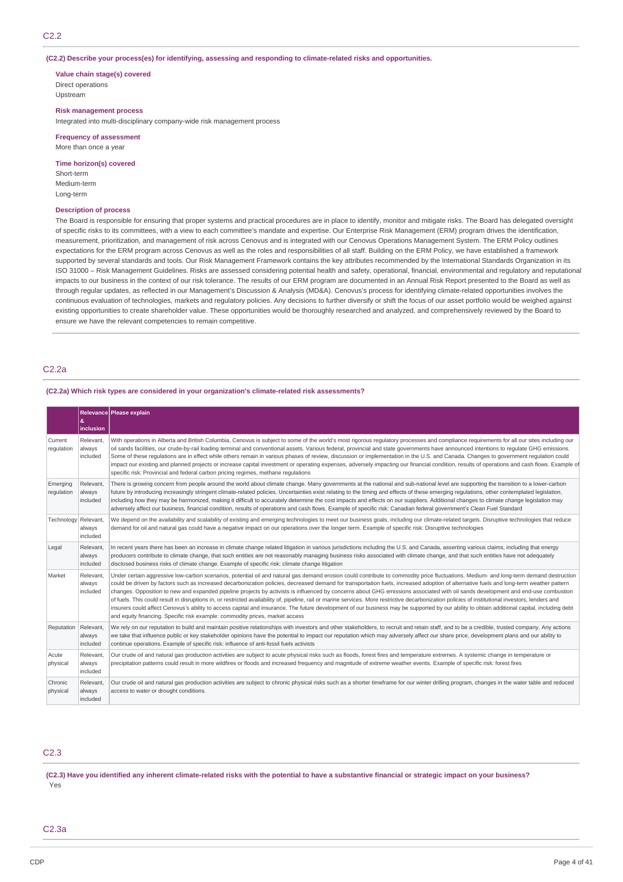**(C2.2) Describe your process(es) for identifying, assessing and responding to climate-related risks and opportunities.**

**Value chain stage(s) covered** Direct operations

Upstream

### **Risk management process**

Integrated into multi-disciplinary company-wide risk management process

**Frequency of assessment** More than once a year

### **Time horizon(s) covered**

Short-term Medium-term Long-term

#### **Description of process**

The Board is responsible for ensuring that proper systems and practical procedures are in place to identify, monitor and mitigate risks. The Board has delegated oversight of specific risks to its committees, with a view to each committee's mandate and expertise. Our Enterprise Risk Management (ERM) program drives the identification, measurement, prioritization, and management of risk across Cenovus and is integrated with our Cenovus Operations Management System. The ERM Policy outlines expectations for the ERM program across Cenovus as well as the roles and responsibilities of all staff. Building on the ERM Policy, we have established a framework supported by several standards and tools. Our Risk Management Framework contains the key attributes recommended by the International Standards Organization in its ISO 31000 – Risk Management Guidelines. Risks are assessed considering potential health and safety, operational, financial, environmental and regulatory and reputational impacts to our business in the context of our risk tolerance. The results of our ERM program are documented in an Annual Risk Report presented to the Board as well as through regular updates, as reflected in our Management's Discussion & Analysis (MD&A). Cenovus's process for identifying climate-related opportunities involves the continuous evaluation of technologies, markets and regulatory policies. Any decisions to further diversify or shift the focus of our asset portfolio would be weighed against existing opportunities to create shareholder value. These opportunities would be thoroughly researched and analyzed, and comprehensively reviewed by the Board to ensure we have the relevant competencies to remain competitive.

### C2.2a

### **(C2.2a) Which risk types are considered in your organization's climate-related risk assessments?**

|                        | &<br>inclusion                  | Relevance Please explain                                                                                                                                                                                                                                                                                                                                                                                                                                                                                                                                                                                                                                                                                                                                                                                                                                                                                                                                                                                                                                     |
|------------------------|---------------------------------|--------------------------------------------------------------------------------------------------------------------------------------------------------------------------------------------------------------------------------------------------------------------------------------------------------------------------------------------------------------------------------------------------------------------------------------------------------------------------------------------------------------------------------------------------------------------------------------------------------------------------------------------------------------------------------------------------------------------------------------------------------------------------------------------------------------------------------------------------------------------------------------------------------------------------------------------------------------------------------------------------------------------------------------------------------------|
| Current<br>regulation  | Relevant.<br>always<br>included | With operations in Alberta and British Columbia, Cenovus is subject to some of the world's most rigorous regulatory processes and compliance requirements for all our sites including our<br>oil sands facilities, our crude-by-rail loading terminal and conventional assets. Various federal, provincial and state governments have announced intentions to regulate GHG emissions.<br>Some of these requlations are in effect while others remain in various phases of review, discussion or implementation in the U.S. and Canada. Changes to government requlation could<br>impact our existing and planned projects or increase capital investment or operating expenses, adversely impacting our financial condition, results of operations and cash flows. Example of<br>specific risk: Provincial and federal carbon pricing regimes, methane regulations                                                                                                                                                                                           |
| Emerging<br>regulation | Relevant.<br>always<br>included | There is growing concern from people around the world about climate change. Many governments at the national and sub-national level are supporting the transition to a lower-carbon<br>future by introducing increasingly stringent climate-related policies. Uncertainties exist relating to the timing and effects of these emerging regulations, other contemplated legislation,<br>including how they may be harmonized, making it difficult to accurately determine the cost impacts and effects on our suppliers. Additional changes to climate change legislation may<br>adversely affect our business, financial condition, results of operations and cash flows. Example of specific risk: Canadian federal government's Clean Fuel Standard                                                                                                                                                                                                                                                                                                        |
| Technology Relevant,   | always<br>included              | We depend on the availability and scalability of existing and emerging technologies to meet our business goals, including our climate-related targets. Disruptive technologies that reduce<br>demand for oil and natural gas could have a negative impact on our operations over the longer term. Example of specific risk: Disruptive technologies                                                                                                                                                                                                                                                                                                                                                                                                                                                                                                                                                                                                                                                                                                          |
| Legal                  | Relevant.<br>always<br>included | In recent years there has been an increase in climate change related litigation in various jurisdictions including the U.S. and Canada, asserting various claims, including that energy<br>producers contribute to climate change, that such entities are not reasonably managing business risks associated with climate change, and that such entities have not adequately<br>disclosed business risks of climate change. Example of specific risk: climate change litigation                                                                                                                                                                                                                                                                                                                                                                                                                                                                                                                                                                               |
| Market                 | Relevant,<br>always<br>included | Under certain aggressive low-carbon scenarios, potential oil and natural gas demand erosion could contribute to commodity price fluctuations. Medium- and long-term demand destruction<br>could be driven by factors such as increased decarbonization policies, decreased demand for transportation fuels, increased adoption of alternative fuels and long-term weather pattern<br>changes. Opposition to new and expanded pipeline projects by activists is influenced by concerns about GHG emissions associated with oil sands development and end-use combustion<br>of fuels. This could result in disruptions in, or restricted availability of, pipeline, rail or marine services. More restrictive decarbonization policies of institutional investors, lenders and<br>insurers could affect Cenovus's ability to access capital and insurance. The future development of our business may be supported by our ability to obtain additional capital, including debt<br>and equity financing. Specific risk example: commodity prices, market access |
| Reputation Relevant,   | always<br>included              | We rely on our reputation to build and maintain positive relationships with investors and other stakeholders, to recruit and retain staff, and to be a credible, trusted company. Any actions<br>we take that influence public or key stakeholder opinions have the potential to impact our reputation which may adversely affect our share price, development plans and our ability to<br>continue operations. Example of specific risk: influence of anti-fossil fuels activists                                                                                                                                                                                                                                                                                                                                                                                                                                                                                                                                                                           |
| Acute<br>physical      | Relevant.<br>always<br>included | Our crude oil and natural gas production activities are subject to acute physical risks such as floods, forest fires and temperature extremes. A systemic change in temperature or<br>precipitation patterns could result in more wildfires or floods and increased frequency and magnitude of extreme weather events. Example of specific risk: forest fires                                                                                                                                                                                                                                                                                                                                                                                                                                                                                                                                                                                                                                                                                                |
| Chronic<br>physical    | Relevant,<br>always<br>included | Our crude oil and natural gas production activities are subject to chronic physical risks such as a shorter timeframe for our winter drilling program, changes in the water table and reduced<br>access to water or drought conditions.                                                                                                                                                                                                                                                                                                                                                                                                                                                                                                                                                                                                                                                                                                                                                                                                                      |

# C2.3

(C2.3) Have you identified any inherent climate-related risks with the potential to have a substantive financial or strategic impact on your business? Yes

### C2.3a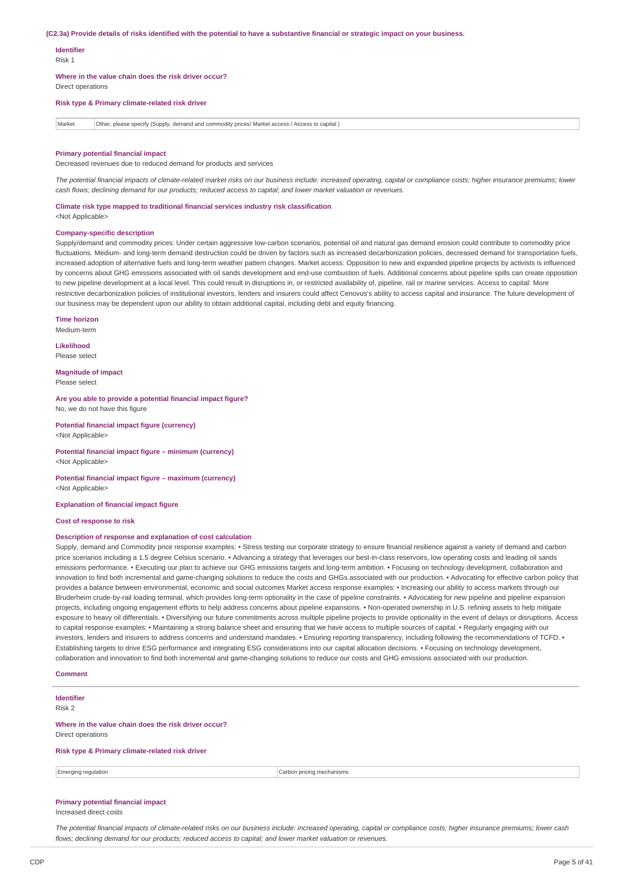#### (C2.3a) Provide details of risks identified with the potential to have a substantive financial or strategic impact on your business.

#### **Identifier**

Risk 1

**Where in the value chain does the risk driver occur?**

Direct operations

**Risk type & Primary climate-related risk driver**

Market Other, please specify (Supply, demand and commodity prices/ Market access / Access to capital )

#### **Primary potential financial impact**

Decreased revenues due to reduced demand for products and services

The potential financial impacts of climate-related market risks on our business include: increased operating, capital or compliance costs; higher insurance premiums; lower cash flows; declining demand for our products; reduced access to capital; and lower market valuation or revenues.

**Climate risk type mapped to traditional financial services industry risk classification**

<Not Applicable>

#### **Company-specific description**

Supply/demand and commodity prices: Under certain aggressive low-carbon scenarios, potential oil and natural gas demand erosion could contribute to commodity price fluctuations. Medium- and long-term demand destruction could be driven by factors such as increased decarbonization policies, decreased demand for transportation fuels, increased adoption of alternative fuels and long-term weather pattern changes. Market access: Opposition to new and expanded pipeline projects by activists is influenced by concerns about GHG emissions associated with oil sands development and end-use combustion of fuels. Additional concerns about pipeline spills can create opposition to new pipeline development at a local level. This could result in disruptions in, or restricted availability of, pipeline, rail or marine services. Access to capital: More restrictive decarbonization policies of institutional investors, lenders and insurers could affect Cenovus's ability to access capital and insurance. The future development of our business may be dependent upon our ability to obtain additional capital, including debt and equity financing.

**Time horizon** Medium-term

**Likelihood**

Please select

**Magnitude of impact** Please select

**Are you able to provide a potential financial impact figure?** No, we do not have this figure

**Potential financial impact figure (currency)** <Not Applicable>

**Potential financial impact figure – minimum (currency)** <Not Applicable>

**Potential financial impact figure – maximum (currency)** <Not Applicable>

**Explanation of financial impact figure**

### **Cost of response to risk**

#### **Description of response and explanation of cost calculation**

Supply, demand and Commodity price response examples: • Stress testing our corporate strategy to ensure financial resilience against a variety of demand and carbon price scenarios including a 1.5 degree Celsius scenario. • Advancing a strategy that leverages our best-in-class reservoirs, low operating costs and leading oil sands emissions performance. • Executing our plan to achieve our GHG emissions targets and long-term ambition. • Focusing on technology development, collaboration and innovation to find both incremental and game-changing solutions to reduce the costs and GHGs associated with our production. • Advocating for effective carbon policy that provides a balance between environmental, economic and social outcomes Market access response examples: • Increasing our ability to access markets through our Bruderheim crude-by-rail loading terminal, which provides long-term optionality in the case of pipeline constraints. • Advocating for new pipeline and pipeline expansion projects, including ongoing engagement efforts to help address concerns about pipeline expansions. • Non-operated ownership in U.S. refining assets to help mitigate exposure to heavy oil differentials. • Diversifying our future commitments across multiple pipeline projects to provide optionality in the event of delays or disruptions. Access to capital response examples: • Maintaining a strong balance sheet and ensuring that we have access to multiple sources of capital. • Regularly engaging with our investors, lenders and insurers to address concerns and understand mandates. • Ensuring reporting transparency, including following the recommendations of TCFD. • Establishing targets to drive ESG performance and integrating ESG considerations into our capital allocation decisions. • Focusing on technology development, collaboration and innovation to find both incremental and game-changing solutions to reduce our costs and GHG emissions associated with our production.

#### **Comment**

**Identifier** Risk 2

**Where in the value chain does the risk driver occur?**

Direct operations

**Risk type & Primary climate-related risk driver**

Emerging regulation **Carbon pricing mechanisms** Carbon pricing mechanisms

### **Primary potential financial impact**

Increased direct costs

The potential financial impacts of climate-related risks on our business include: increased operating, capital or compliance costs; higher insurance premiums; lower cash *flows; declining demand for our products; reduced access to capital; and lower market valuation or revenues.*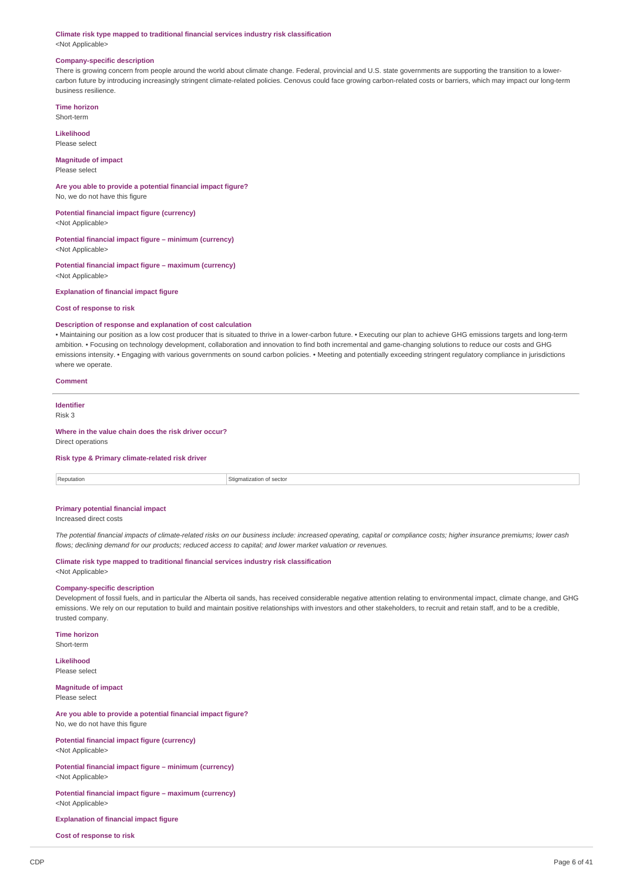#### **Climate risk type mapped to traditional financial services industry risk classification** <Not Applicable>

#### **Company-specific description**

There is growing concern from people around the world about climate change. Federal, provincial and U.S. state governments are supporting the transition to a lowercarbon future by introducing increasingly stringent climate-related policies. Cenovus could face growing carbon-related costs or barriers, which may impact our long-term business resilience.

**Time horizon**

Short-term

**Likelihood** Please select

# **Magnitude of impact**

Please select

#### **Are you able to provide a potential financial impact figure?** No, we do not have this figure

**Potential financial impact figure (currency)** <Not Applicable>

# **Potential financial impact figure – minimum (currency)**

<Not Applicable>

### **Potential financial impact figure – maximum (currency)** <Not Applicable>

**Explanation of financial impact figure**

### **Cost of response to risk**

#### **Description of response and explanation of cost calculation**

• Maintaining our position as a low cost producer that is situated to thrive in a lower-carbon future. • Executing our plan to achieve GHG emissions targets and long-term ambition. • Focusing on technology development, collaboration and innovation to find both incremental and game-changing solutions to reduce our costs and GHG emissions intensity. • Engaging with various governments on sound carbon policies. • Meeting and potentially exceeding stringent regulatory compliance in jurisdictions where we operate.

#### **Comment**

**Identifier** Risk 3

#### **Where in the value chain does the risk driver occur?**

Direct operations

#### **Risk type & Primary climate-related risk driver**

| enutation | キョックキョウド<br>sector |
|-----------|--------------------|
|           |                    |

#### **Primary potential financial impact**

Increased direct costs

The potential financial impacts of climate-related risks on our business include: increased operating, capital or compliance costs; higher insurance premiums; lower cash *flows; declining demand for our products; reduced access to capital; and lower market valuation or revenues.*

#### **Climate risk type mapped to traditional financial services industry risk classification** <Not Applicable>

### **Company-specific description**

Development of fossil fuels, and in particular the Alberta oil sands, has received considerable negative attention relating to environmental impact, climate change, and GHG emissions. We rely on our reputation to build and maintain positive relationships with investors and other stakeholders, to recruit and retain staff, and to be a credible, trusted company.

**Time horizon** Short-term

**Likelihood** Please select

**Magnitude of impact** Please select

#### **Are you able to provide a potential financial impact figure?** No, we do not have this figure

**Potential financial impact figure (currency)** <Not Applicable>

#### **Potential financial impact figure – minimum (currency)** <Not Applicable>

**Potential financial impact figure – maximum (currency)** <Not Applicable>

### **Explanation of financial impact figure**

**Cost of response to risk**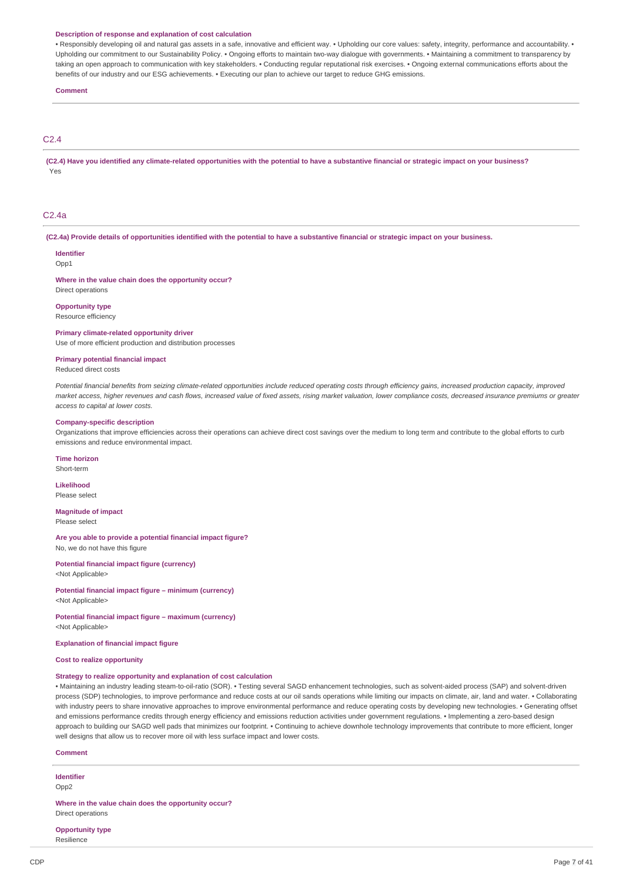#### **Description of response and explanation of cost calculation**

• Responsibly developing oil and natural gas assets in a safe, innovative and efficient way. • Upholding our core values: safety, integrity, performance and accountability. • Upholding our commitment to our Sustainability Policy. • Ongoing efforts to maintain two-way dialogue with governments. • Maintaining a commitment to transparency by taking an open approach to communication with key stakeholders. • Conducting regular reputational risk exercises. • Ongoing external communications efforts about the benefits of our industry and our ESG achievements. • Executing our plan to achieve our target to reduce GHG emissions.

#### **Comment**

### C2.4

(C2.4) Have you identified any climate-related opportunities with the potential to have a substantive financial or strategic impact on your business? Yes

### C2.4a

(C2.4a) Provide details of opportunities identified with the potential to have a substantive financial or strategic impact on your business.

#### **Identifier**

Opp1

**Where in the value chain does the opportunity occur?** Direct operations

**Opportunity type**

Resource efficiency

#### **Primary climate-related opportunity driver**

Use of more efficient production and distribution processes

### **Primary potential financial impact**

Reduced direct costs

Potential financial benefits from seizing climate-related opportunities include reduced operating costs through efficiency gains, increased production capacity, improved market access, higher revenues and cash flows, increased value of fixed assets, rising market valuation, lower compliance costs, decreased insurance premiums or greater *access to capital at lower costs.*

#### **Company-specific description**

Organizations that improve efficiencies across their operations can achieve direct cost savings over the medium to long term and contribute to the global efforts to curb emissions and reduce environmental impact.

# **Time horizon**

Short-term

**Likelihood** Please select

**Magnitude of impact** Please select

**Are you able to provide a potential financial impact figure?** No, we do not have this figure

#### **Potential financial impact figure (currency)** <Not Applicable>

**Potential financial impact figure – minimum (currency)**

<Not Applicable>

**Potential financial impact figure – maximum (currency)** <Not Applicable>

**Explanation of financial impact figure**

**Cost to realize opportunity**

### **Strategy to realize opportunity and explanation of cost calculation**

• Maintaining an industry leading steam-to-oil-ratio (SOR). • Testing several SAGD enhancement technologies, such as solvent-aided process (SAP) and solvent-driven process (SDP) technologies, to improve performance and reduce costs at our oil sands operations while limiting our impacts on climate, air, land and water. • Collaborating with industry peers to share innovative approaches to improve environmental performance and reduce operating costs by developing new technologies. • Generating offset and emissions performance credits through energy efficiency and emissions reduction activities under government regulations. • Implementing a zero-based design approach to building our SAGD well pads that minimizes our footprint. • Continuing to achieve downhole technology improvements that contribute to more efficient, longer well designs that allow us to recover more oil with less surface impact and lower costs.

### **Comment**

**Identifier** Opp2

**Where in the value chain does the opportunity occur?** Direct operations

**Opportunity type** Resilience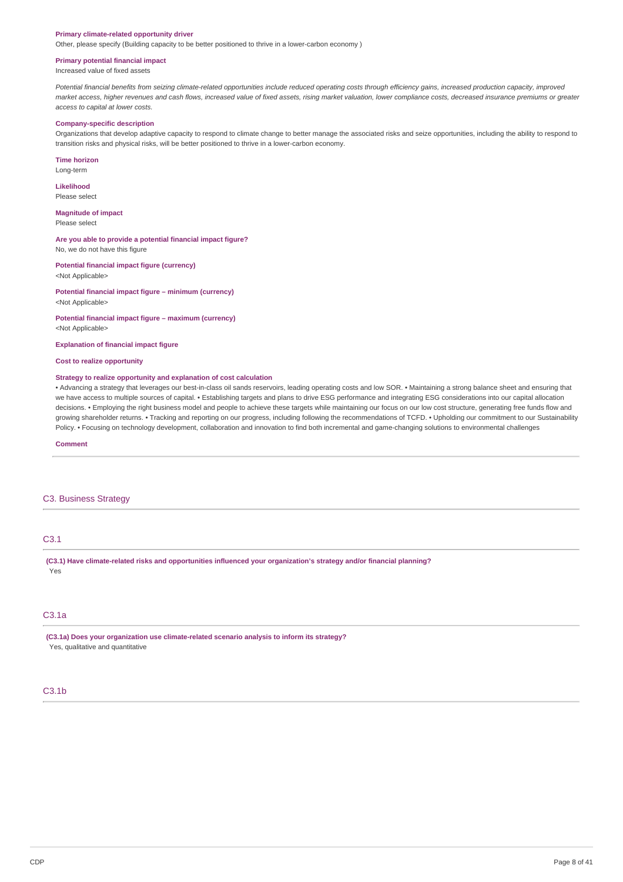#### **Primary climate-related opportunity driver**

Other, please specify (Building capacity to be better positioned to thrive in a lower-carbon economy )

#### **Primary potential financial impact**

Increased value of fixed assets

Potential financial benefits from seizing climate-related opportunities include reduced operating costs through efficiency gains, increased production capacity, improved market access, higher revenues and cash flows, increased value of fixed assets, rising market valuation, lower compliance costs, decreased insurance premiums or greater *access to capital at lower costs.*

#### **Company-specific description**

Organizations that develop adaptive capacity to respond to climate change to better manage the associated risks and seize opportunities, including the ability to respond to transition risks and physical risks, will be better positioned to thrive in a lower-carbon economy.

**Time horizon**

Long-term

**Likelihood** Please select

**Magnitude of impact**

Please select

**Are you able to provide a potential financial impact figure?** No, we do not have this figure

**Potential financial impact figure (currency)** <Not Applicable>

**Potential financial impact figure – minimum (currency)** <Not Applicable>

**Potential financial impact figure – maximum (currency)** <Not Applicable>

**Explanation of financial impact figure**

**Cost to realize opportunity**

#### **Strategy to realize opportunity and explanation of cost calculation**

• Advancing a strategy that leverages our best-in-class oil sands reservoirs, leading operating costs and low SOR. • Maintaining a strong balance sheet and ensuring that we have access to multiple sources of capital. • Establishing targets and plans to drive ESG performance and integrating ESG considerations into our capital allocation decisions. • Employing the right business model and people to achieve these targets while maintaining our focus on our low cost structure, generating free funds flow and growing shareholder returns. • Tracking and reporting on our progress, including following the recommendations of TCFD. • Upholding our commitment to our Sustainability Policy. • Focusing on technology development, collaboration and innovation to find both incremental and game-changing solutions to environmental challenges

**Comment**

### C3. Business Strategy

# C3.1

**(C3.1) Have climate-related risks and opportunities influenced your organization's strategy and/or financial planning?** Yes

# C3.1a

**(C3.1a) Does your organization use climate-related scenario analysis to inform its strategy?** Yes, qualitative and quantitative

# C3.1b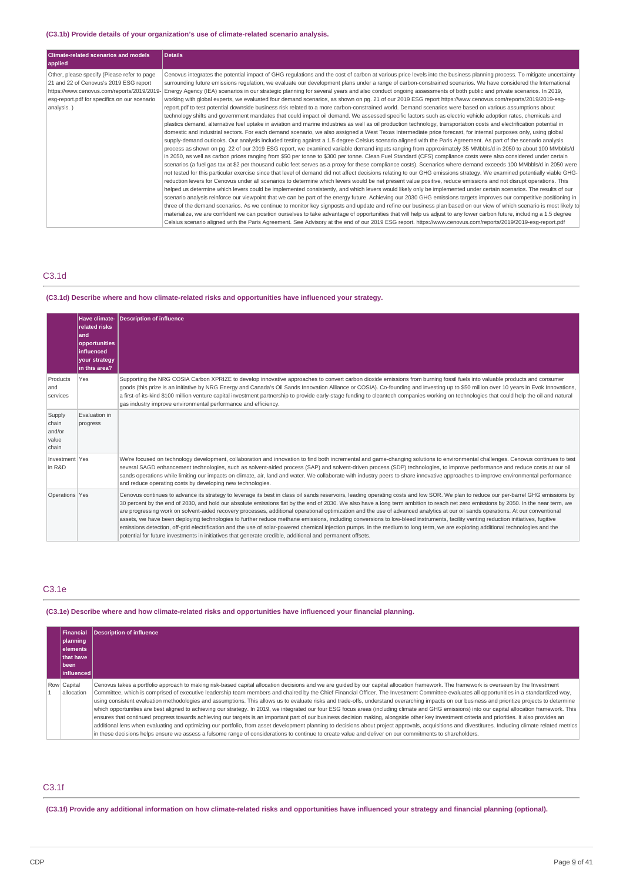### **(C3.1b) Provide details of your organization's use of climate-related scenario analysis.**

| <b>Climate-related scenarios and models</b><br>applied                                                                                                                                            | <b>Details</b>                                                                                                                                                                                                                                                                                                                                                                                                                                                                                                                                                                                                                                                                                                                                                                                                                                                                                                                                                                                                                                                                                                                                                                                                                                                                                                                                                                                                                                                                                                                                                                                                                                                                                                                                                                                                                                                                                                                                                                                                                                                                                                                                                                                                                                                                                                                                                                                                                                                                                                                                                                                                                                                                                                                                                                                                                                                                                                                                                                                                                                                                                                                                                                                                                    |
|---------------------------------------------------------------------------------------------------------------------------------------------------------------------------------------------------|-----------------------------------------------------------------------------------------------------------------------------------------------------------------------------------------------------------------------------------------------------------------------------------------------------------------------------------------------------------------------------------------------------------------------------------------------------------------------------------------------------------------------------------------------------------------------------------------------------------------------------------------------------------------------------------------------------------------------------------------------------------------------------------------------------------------------------------------------------------------------------------------------------------------------------------------------------------------------------------------------------------------------------------------------------------------------------------------------------------------------------------------------------------------------------------------------------------------------------------------------------------------------------------------------------------------------------------------------------------------------------------------------------------------------------------------------------------------------------------------------------------------------------------------------------------------------------------------------------------------------------------------------------------------------------------------------------------------------------------------------------------------------------------------------------------------------------------------------------------------------------------------------------------------------------------------------------------------------------------------------------------------------------------------------------------------------------------------------------------------------------------------------------------------------------------------------------------------------------------------------------------------------------------------------------------------------------------------------------------------------------------------------------------------------------------------------------------------------------------------------------------------------------------------------------------------------------------------------------------------------------------------------------------------------------------------------------------------------------------------------------------------------------------------------------------------------------------------------------------------------------------------------------------------------------------------------------------------------------------------------------------------------------------------------------------------------------------------------------------------------------------------------------------------------------------------------------------------------------------|
| Other, please specify (Please refer to page<br>21 and 22 of Cenovus's 2019 ESG report<br>https://www.cenovus.com/reports/2019/2019-<br>esq-report.pdf for specifics on our scenario<br>analysis.) | Cenovus integrates the potential impact of GHG regulations and the cost of carbon at various price levels into the business planning process. To mitigate uncertainty<br>surrounding future emissions regulation, we evaluate our development plans under a range of carbon-constrained scenarios. We have considered the International<br>Energy Agency (IEA) scenarios in our strategic planning for several years and also conduct ongoing assessments of both public and private scenarios. In 2019,<br>working with global experts, we evaluated four demand scenarios, as shown on pg. 21 of our 2019 ESG report https://www.cenovus.com/reports/2019/2019-esg-<br>report.pdf to test potential downside business risk related to a more carbon-constrained world. Demand scenarios were based on various assumptions about<br>technology shifts and government mandates that could impact oil demand. We assessed specific factors such as electric vehicle adoption rates, chemicals and<br>plastics demand, alternative fuel uptake in aviation and marine industries as well as oil production technology, transportation costs and electrification potential in<br>domestic and industrial sectors. For each demand scenario, we also assigned a West Texas Intermediate price forecast, for internal purposes only, using global<br>supply-demand outlooks. Our analysis included testing against a 1.5 degree Celsius scenario aligned with the Paris Agreement. As part of the scenario analysis<br>process as shown on pg. 22 of our 2019 ESG report, we examined variable demand inputs ranging from approximately 35 MMbbls/d in 2050 to about 100 MMbbls/d<br>in 2050, as well as carbon prices ranging from \$50 per tonne to \$300 per tonne. Clean Fuel Standard (CFS) compliance costs were also considered under certain<br>scenarios (a fuel gas tax at \$2 per thousand cubic feet serves as a proxy for these compliance costs). Scenarios where demand exceeds 100 MMbbls/d in 2050 were<br>not tested for this particular exercise since that level of demand did not affect decisions relating to our GHG emissions strategy. We examined potentially viable GHG-<br>reduction levers for Cenovus under all scenarios to determine which levers would be net present value positive, reduce emissions and not disrupt operations. This<br>helped us determine which levers could be implemented consistently, and which levers would likely only be implemented under certain scenarios. The results of our<br>scenario analysis reinforce our viewpoint that we can be part of the energy future. Achieving our 2030 GHG emissions targets improves our competitive positioning in<br>three of the demand scenarios. As we continue to monitor key signposts and update and refine our business plan based on our view of which scenario is most likely to<br>materialize, we are confident we can position ourselves to take advantage of opportunities that will help us adjust to any lower carbon future, including a 1.5 degree<br>Celsius scenario aligned with the Paris Agreement. See Advisory at the end of our 2019 ESG report. https://www.cenovus.com/reports/2019/2019-esq-report.pdf |

# C3.1d

### **(C3.1d) Describe where and how climate-related risks and opportunities have influenced your strategy.**

|                                             | <b>Have climate-</b><br>related risks<br>and<br>opportunities<br><b>influenced</b><br>your strategy<br>in this area? | <b>Description of influence</b>                                                                                                                                                                                                                                                                                                                                                                                                                                                                                                                                                                                                                                                                                                                                                                                                                                                                                                                                                                                                                        |
|---------------------------------------------|----------------------------------------------------------------------------------------------------------------------|--------------------------------------------------------------------------------------------------------------------------------------------------------------------------------------------------------------------------------------------------------------------------------------------------------------------------------------------------------------------------------------------------------------------------------------------------------------------------------------------------------------------------------------------------------------------------------------------------------------------------------------------------------------------------------------------------------------------------------------------------------------------------------------------------------------------------------------------------------------------------------------------------------------------------------------------------------------------------------------------------------------------------------------------------------|
| Products<br>and<br>services                 | Yes                                                                                                                  | Supporting the NRG COSIA Carbon XPRIZE to develop innovative approaches to convert carbon dioxide emissions from burning fossil fuels into valuable products and consumer<br>goods (this prize is an initiative by NRG Energy and Canada's Oil Sands Innovation Alliance or COSIA). Co-founding and investing up to \$50 million over 10 years in Evok Innovations,<br>a first-of-its-kind \$100 million venture capital investment partnership to provide early-stage funding to cleantech companies working on technologies that could help the oil and natural<br>gas industry improve environmental performance and efficiency.                                                                                                                                                                                                                                                                                                                                                                                                                    |
| Supply<br>chain<br>and/or<br>value<br>chain | Evaluation in<br>progress                                                                                            |                                                                                                                                                                                                                                                                                                                                                                                                                                                                                                                                                                                                                                                                                                                                                                                                                                                                                                                                                                                                                                                        |
| Investment Yes<br>in R&D                    |                                                                                                                      | We're focused on technology development, collaboration and innovation to find both incremental and game-changing solutions to environmental challenges. Cenovus continues to test<br>several SAGD enhancement technologies, such as solvent-aided process (SAP) and solvent-driven process (SDP) technologies, to improve performance and reduce costs at our oil<br>sands operations while limiting our impacts on climate, air, land and water. We collaborate with industry peers to share innovative approaches to improve environmental performance<br>and reduce operating costs by developing new technologies.                                                                                                                                                                                                                                                                                                                                                                                                                                 |
| Operations Yes                              |                                                                                                                      | Cenovus continues to advance its strategy to leverage its best in class oil sands reservoirs, leading operating costs and low SOR. We plan to reduce our per-barrel GHG emissions by<br>30 percent by the end of 2030, and hold our absolute emissions flat by the end of 2030. We also have a long term ambition to reach net zero emissions by 2050. In the near term, we<br>are progressing work on solvent-aided recovery processes, additional operational optimization and the use of advanced analytics at our oil sands operations. At our conventional<br>assets, we have been deploying technologies to further reduce methane emissions, including conversions to low-bleed instruments, facility venting reduction initiatives, fugitive<br>emissions detection, off-grid electrification and the use of solar-powered chemical injection pumps. In the medium to long term, we are exploring additional technologies and the<br>potential for future investments in initiatives that generate credible, additional and permanent offsets. |

# C3.1e

## **(C3.1e) Describe where and how climate-related risks and opportunities have influenced your financial planning.**

| Financial<br>planning<br>lelements<br><b>Ithat have</b><br>l been<br>l influenced l | Description of influence                                                                                                                                                                                                                                                                                                                                                                                                                                                                                                                                                                                                                                                                                                                                                                                                                                                                                                                                                                                                                                                                                                                                                                                                                                                                                                                                            |
|-------------------------------------------------------------------------------------|---------------------------------------------------------------------------------------------------------------------------------------------------------------------------------------------------------------------------------------------------------------------------------------------------------------------------------------------------------------------------------------------------------------------------------------------------------------------------------------------------------------------------------------------------------------------------------------------------------------------------------------------------------------------------------------------------------------------------------------------------------------------------------------------------------------------------------------------------------------------------------------------------------------------------------------------------------------------------------------------------------------------------------------------------------------------------------------------------------------------------------------------------------------------------------------------------------------------------------------------------------------------------------------------------------------------------------------------------------------------|
| Row Capital<br>allocation                                                           | Cenovus takes a portfolio approach to making risk-based capital allocation decisions and we are quided by our capital allocation framework. The framework is overseen by the Investment<br>Committee, which is comprised of executive leadership team members and chaired by the Chief Financial Officer. The Investment Committee evaluates all opportunities in a standardized way,<br>using consistent evaluation methodologies and assumptions. This allows us to evaluate risks and trade-offs, understand overarching impacts on our business and prioritize projects to determine<br>which opportunities are best aligned to achieving our strategy. In 2019, we integrated our four ESG focus areas (including climate and GHG emissions) into our capital allocation framework. This<br>ensures that continued progress towards achieving our targets is an important part of our business decision making, alongside other key investment criteria and priorities. It also provides an<br>additional lens when evaluating and optimizing our portfolio, from asset development planning to decisions about project approvals, acquisitions and divestitures. Including climate related metrics<br>in these decisions helps ensure we assess a fulsome range of considerations to continue to create value and deliver on our commitments to shareholders. |

# C3.1f

(C3.1f) Provide any additional information on how climate-related risks and opportunities have influenced your strategy and financial planning (optional).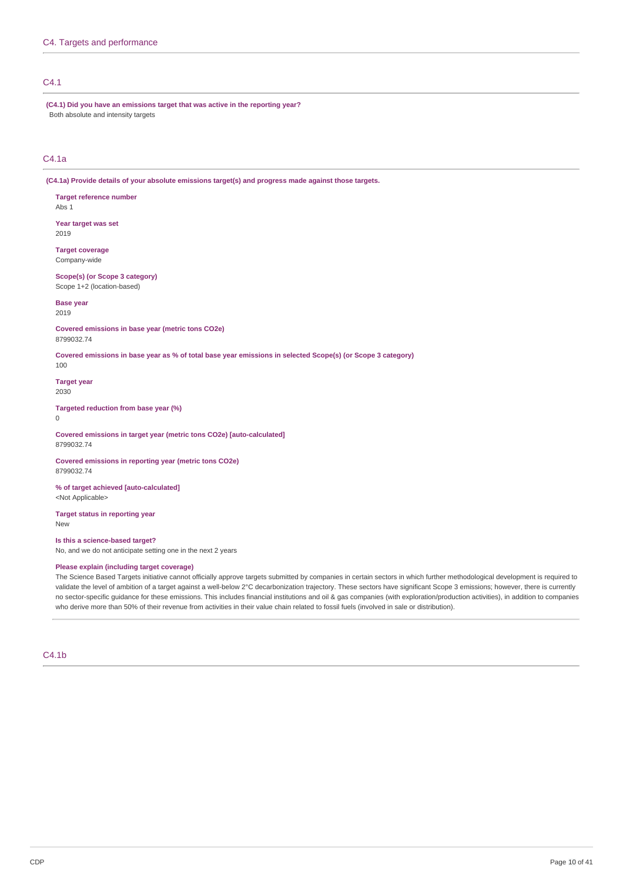# C4.1

**(C4.1) Did you have an emissions target that was active in the reporting year?** Both absolute and intensity targets

# C4.1a

**(C4.1a) Provide details of your absolute emissions target(s) and progress made against those targets.**

**Target reference number**

Abs 1

**Year target was set** 2019

**Target coverage** Company-wide

**Scope(s) (or Scope 3 category)** Scope 1+2 (location-based)

**Base year**

2019

**Covered emissions in base year (metric tons CO2e)** 8799032.74

Covered emissions in base year as % of total base year emissions in selected Scope(s) (or Scope 3 category)

**Target year**

2030

100

**Targeted reduction from base year (%)**

 $\Omega$ 

**Covered emissions in target year (metric tons CO2e) [auto-calculated]** 8799032.74

**Covered emissions in reporting year (metric tons CO2e)** 8799032.74

**% of target achieved [auto-calculated]** <Not Applicable>

**Target status in reporting year** New

**Is this a science-based target?** No, and we do not anticipate setting one in the next 2 years

### **Please explain (including target coverage)**

The Science Based Targets initiative cannot officially approve targets submitted by companies in certain sectors in which further methodological development is required to validate the level of ambition of a target against a well-below 2°C decarbonization trajectory. These sectors have significant Scope 3 emissions; however, there is currently no sector-specific guidance for these emissions. This includes financial institutions and oil & gas companies (with exploration/production activities), in addition to companies who derive more than 50% of their revenue from activities in their value chain related to fossil fuels (involved in sale or distribution).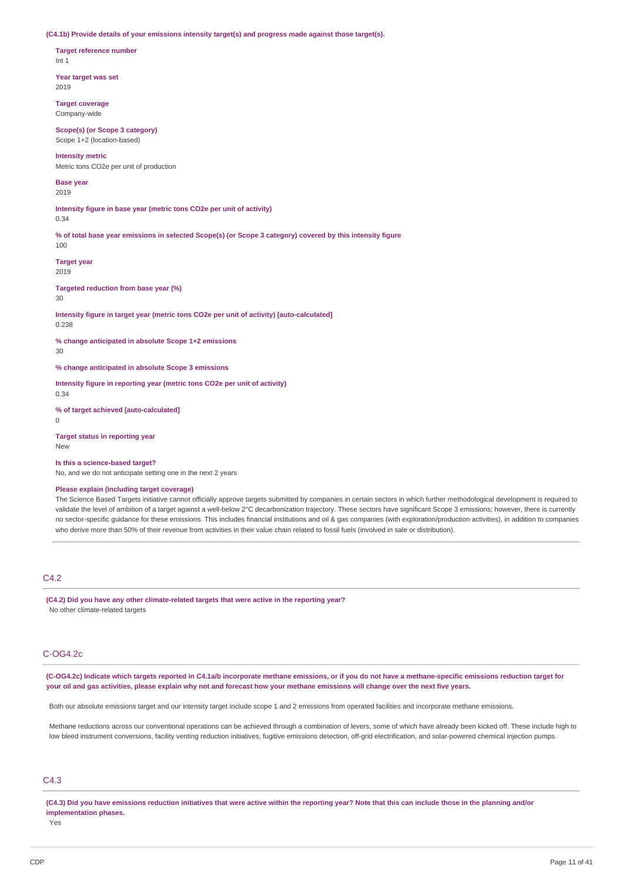**(C4.1b) Provide details of your emissions intensity target(s) and progress made against those target(s).**

**Target reference number** Int 1

**Year target was set** 2019

**Target coverage** Company-wide

**Scope(s) (or Scope 3 category)** Scope 1+2 (location-based)

**Intensity metric** Metric tons CO2e per unit of production

**Base year** 2019

**Intensity figure in base year (metric tons CO2e per unit of activity)** 0.34

% of total base year emissions in selected Scope(s) (or Scope 3 category) covered by this intensity figure 100

**Target year** 2019

**Targeted reduction from base year (%)**

30

**Intensity figure in target year (metric tons CO2e per unit of activity) [auto-calculated]** 0.238

**% change anticipated in absolute Scope 1+2 emissions**

30

**% change anticipated in absolute Scope 3 emissions**

**Intensity figure in reporting year (metric tons CO2e per unit of activity)**

0.34

**% of target achieved [auto-calculated]**  $\Omega$ 

**Target status in reporting year** New

#### **Is this a science-based target?**

No, and we do not anticipate setting one in the next 2 years

### **Please explain (including target coverage)**

The Science Based Targets initiative cannot officially approve targets submitted by companies in certain sectors in which further methodological development is required to validate the level of ambition of a target against a well-below 2°C decarbonization trajectory. These sectors have significant Scope 3 emissions; however, there is currently no sector-specific guidance for these emissions. This includes financial institutions and oil & gas companies (with exploration/production activities), in addition to companies who derive more than 50% of their revenue from activities in their value chain related to fossil fuels (involved in sale or distribution).

# C4.2

**(C4.2) Did you have any other climate-related targets that were active in the reporting year?** No other climate-related targets

### C-OG4.2c

(C-OG4.2c) Indicate which targets reported in C4.1a/b incorporate methane emissions, or if you do not have a methane-specific emissions reduction target for your oil and gas activities, please explain why not and forecast how your methane emissions will change over the next five years.

Both our absolute emissions target and our intensity target include scope 1 and 2 emissions from operated facilities and incorporate methane emissions.

Methane reductions across our conventional operations can be achieved through a combination of levers, some of which have already been kicked off. These include high to low bleed instrument conversions, facility venting reduction initiatives, fugitive emissions detection, off-grid electrification, and solar-powered chemical injection pumps.

### $CA<sub>3</sub>$

(C4.3) Did you have emissions reduction initiatives that were active within the reporting year? Note that this can include those in the planning and/or **implementation phases.**

Yes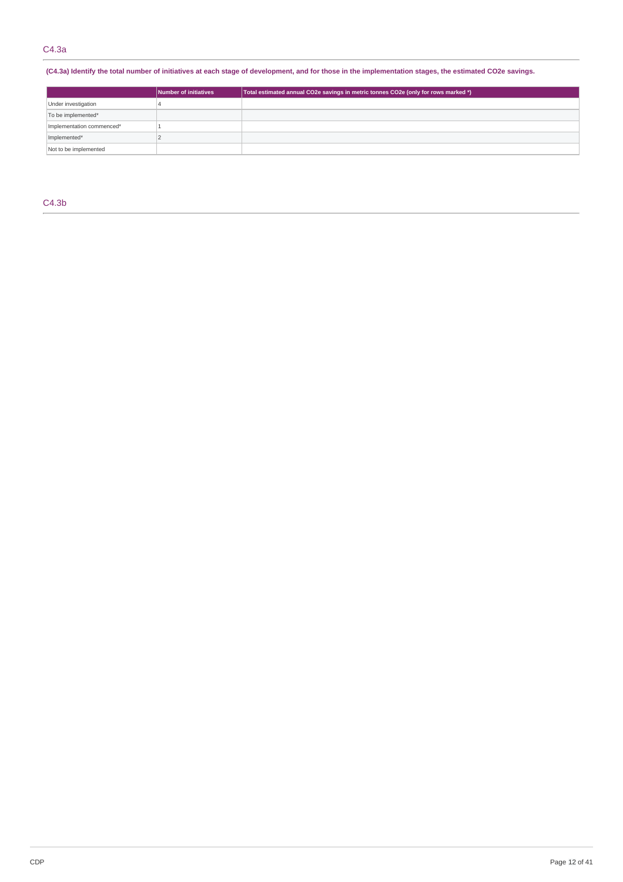(C4.3a) Identify the total number of initiatives at each stage of development, and for those in the implementation stages, the estimated CO2e savings.

| Number of initiatives     |  | Total estimated annual CO2e savings in metric tonnes CO2e (only for rows marked *) |  |
|---------------------------|--|------------------------------------------------------------------------------------|--|
| Under investigation       |  |                                                                                    |  |
| To be implemented*        |  |                                                                                    |  |
| Implementation commenced* |  |                                                                                    |  |
| Implemented*              |  |                                                                                    |  |
| Not to be implemented     |  |                                                                                    |  |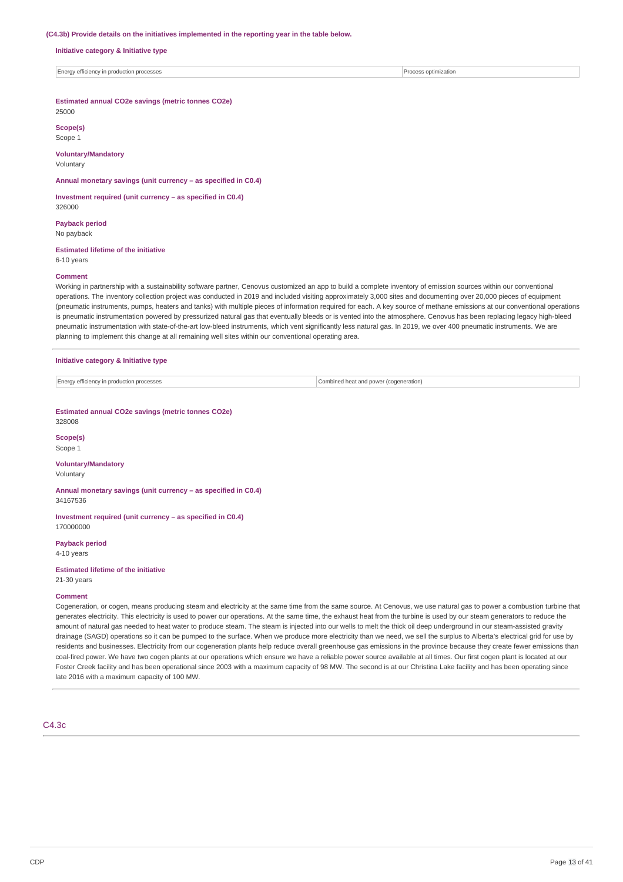#### **(C4.3b) Provide details on the initiatives implemented in the reporting year in the table below.**

**Initiative category & Initiative type**

Energy efficiency in production processes Process optimization

**Estimated annual CO2e savings (metric tonnes CO2e)** 25000

**Scope(s)** Scope 1

# **Voluntary/Mandatory**

Voluntary

**Annual monetary savings (unit currency – as specified in C0.4)**

**Investment required (unit currency – as specified in C0.4)** 326000

**Payback period** No payback

## **Estimated lifetime of the initiative**

6-10 years

#### **Comment**

Working in partnership with a sustainability software partner, Cenovus customized an app to build a complete inventory of emission sources within our conventional operations. The inventory collection project was conducted in 2019 and included visiting approximately 3,000 sites and documenting over 20,000 pieces of equipment (pneumatic instruments, pumps, heaters and tanks) with multiple pieces of information required for each. A key source of methane emissions at our conventional operations is pneumatic instrumentation powered by pressurized natural gas that eventually bleeds or is vented into the atmosphere. Cenovus has been replacing legacy high-bleed pneumatic instrumentation with state-of-the-art low-bleed instruments, which vent significantly less natural gas. In 2019, we over 400 pneumatic instruments. We are planning to implement this change at all remaining well sites within our conventional operating area.

#### **Initiative category & Initiative type**

Energy efficiency in production processes Combined heat and power (cogeneration)

#### **Estimated annual CO2e savings (metric tonnes CO2e)** 328008

**Scope(s)** Scope 1

# **Voluntary/Mandatory**

Voluntary

**Annual monetary savings (unit currency – as specified in C0.4)** 34167536

**Investment required (unit currency – as specified in C0.4)** 170000000

**Payback period**

4-10 years

# **Estimated lifetime of the initiative**

21-30 years

### **Comment**

Cogeneration, or cogen, means producing steam and electricity at the same time from the same source. At Cenovus, we use natural gas to power a combustion turbine that generates electricity. This electricity is used to power our operations. At the same time, the exhaust heat from the turbine is used by our steam generators to reduce the amount of natural gas needed to heat water to produce steam. The steam is injected into our wells to melt the thick oil deep underground in our steam-assisted gravity drainage (SAGD) operations so it can be pumped to the surface. When we produce more electricity than we need, we sell the surplus to Alberta's electrical grid for use by residents and businesses. Electricity from our cogeneration plants help reduce overall greenhouse gas emissions in the province because they create fewer emissions than coal-fired power. We have two cogen plants at our operations which ensure we have a reliable power source available at all times. Our first cogen plant is located at our Foster Creek facility and has been operational since 2003 with a maximum capacity of 98 MW. The second is at our Christina Lake facility and has been operating since late 2016 with a maximum capacity of 100 MW.

C4.3c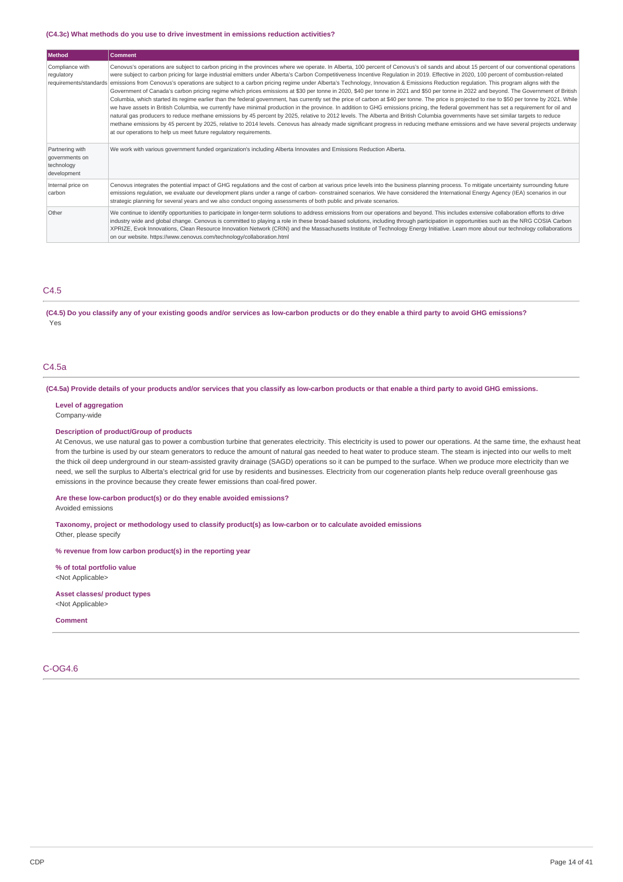#### **(C4.3c) What methods do you use to drive investment in emissions reduction activities?**

| Method                                                         | <b>Comment</b>                                                                                                                                                                                                                                                                                                                                                                                                                                                                                                                                                                                                                                                                                                                                                                                                                                                                                                                                                                                                                                                                                                                                                                                                                                                                                                                                                                                                                                                                                                                                                                                                                           |
|----------------------------------------------------------------|------------------------------------------------------------------------------------------------------------------------------------------------------------------------------------------------------------------------------------------------------------------------------------------------------------------------------------------------------------------------------------------------------------------------------------------------------------------------------------------------------------------------------------------------------------------------------------------------------------------------------------------------------------------------------------------------------------------------------------------------------------------------------------------------------------------------------------------------------------------------------------------------------------------------------------------------------------------------------------------------------------------------------------------------------------------------------------------------------------------------------------------------------------------------------------------------------------------------------------------------------------------------------------------------------------------------------------------------------------------------------------------------------------------------------------------------------------------------------------------------------------------------------------------------------------------------------------------------------------------------------------------|
| Compliance with<br>regulatory                                  | Cenovus's operations are subject to carbon pricing in the provinces where we operate. In Alberta, 100 percent of Cenovus's oil sands and about 15 percent of our conventional operations<br>were subject to carbon pricing for large industrial emitters under Alberta's Carbon Competitiveness Incentive Regulation in 2019. Effective in 2020, 100 percent of combustion-related<br>requirements/standards emissions from Cenovus's operations are subject to a carbon pricing regime under Alberta's Technology, Innovation & Emissions Reduction regulation. This program aligns with the<br>Government of Canada's carbon pricing regime which prices emissions at \$30 per tonne in 2020, \$40 per tonne in 2021 and \$50 per tonne in 2022 and beyond. The Government of British<br>Columbia, which started its regime earlier than the federal government, has currently set the price of carbon at \$40 per tonne. The price is projected to rise to \$50 per tonne by 2021. While<br>we have assets in British Columbia, we currently have minimal production in the province. In addition to GHG emissions pricing, the federal government has set a requirement for oil and<br>natural gas producers to reduce methane emissions by 45 percent by 2025, relative to 2012 levels. The Alberta and British Columbia governments have set similar targets to reduce<br>methane emissions by 45 percent by 2025, relative to 2014 levels. Cenovus has already made significant progress in reducing methane emissions and we have several projects underway<br>at our operations to help us meet future regulatory requirements. |
| Partnering with<br>governments on<br>technology<br>development | We work with various government funded organization's including Alberta Innovates and Emissions Reduction Alberta.                                                                                                                                                                                                                                                                                                                                                                                                                                                                                                                                                                                                                                                                                                                                                                                                                                                                                                                                                                                                                                                                                                                                                                                                                                                                                                                                                                                                                                                                                                                       |
| Internal price on<br>carbon                                    | Cenovus integrates the potential impact of GHG regulations and the cost of carbon at various price levels into the business planning process. To mitigate uncertainty surrounding future<br>emissions regulation, we evaluate our development plans under a range of carbon- constrained scenarios. We have considered the International Energy Agency (IEA) scenarios in our<br>strategic planning for several years and we also conduct ongoing assessments of both public and private scenarios.                                                                                                                                                                                                                                                                                                                                                                                                                                                                                                                                                                                                                                                                                                                                                                                                                                                                                                                                                                                                                                                                                                                                      |
| Other                                                          | We continue to identify opportunities to participate in longer-term solutions to address emissions from our operations and beyond. This includes extensive collaboration efforts to drive<br>industry wide and global change. Cenovus is committed to playing a role in these broad-based solutions, including through participation in opportunities such as the NRG COSIA Carbon<br>XPRIZE, Evok Innovations, Clean Resource Innovation Network (CRIN) and the Massachusetts Institute of Technology Energy Initiative. Learn more about our technology collaborations<br>on our website. https://www.cenovus.com/technology/collaboration.html                                                                                                                                                                                                                                                                                                                                                                                                                                                                                                                                                                                                                                                                                                                                                                                                                                                                                                                                                                                        |

### C4.5

(C4.5) Do you classify any of your existing goods and/or services as low-carbon products or do they enable a third party to avoid GHG emissions? Yes

### C4.5a

(C4.5a) Provide details of your products and/or services that you classify as low-carbon products or that enable a third party to avoid GHG emissions.

### **Level of aggregation**

Company-wide

#### **Description of product/Group of products**

At Cenovus, we use natural gas to power a combustion turbine that generates electricity. This electricity is used to power our operations. At the same time, the exhaust heat from the turbine is used by our steam generators to reduce the amount of natural gas needed to heat water to produce steam. The steam is injected into our wells to melt the thick oil deep underground in our steam-assisted gravity drainage (SAGD) operations so it can be pumped to the surface. When we produce more electricity than we need, we sell the surplus to Alberta's electrical grid for use by residents and businesses. Electricity from our cogeneration plants help reduce overall greenhouse gas emissions in the province because they create fewer emissions than coal-fired power.

### **Are these low-carbon product(s) or do they enable avoided emissions?**

Avoided emissions

**Taxonomy, project or methodology used to classify product(s) as low-carbon or to calculate avoided emissions** Other, please specify

**% revenue from low carbon product(s) in the reporting year**

**% of total portfolio value** <Not Applicable>

#### **Asset classes/ product types** <Not Applicable>

**Comment**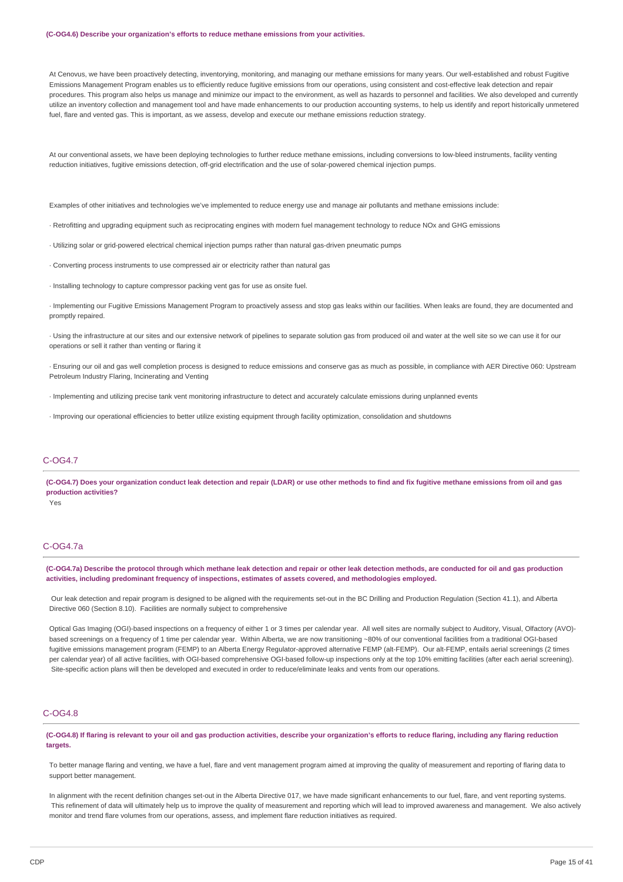#### **(C-OG4.6) Describe your organization's efforts to reduce methane emissions from your activities.**

At Cenovus, we have been proactively detecting, inventorying, monitoring, and managing our methane emissions for many years. Our well-established and robust Fugitive Emissions Management Program enables us to efficiently reduce fugitive emissions from our operations, using consistent and cost-effective leak detection and repair procedures. This program also helps us manage and minimize our impact to the environment, as well as hazards to personnel and facilities. We also developed and currently utilize an inventory collection and management tool and have made enhancements to our production accounting systems, to help us identify and report historically unmetered fuel, flare and vented gas. This is important, as we assess, develop and execute our methane emissions reduction strategy.

At our conventional assets, we have been deploying technologies to further reduce methane emissions, including conversions to low-bleed instruments, facility venting reduction initiatives, fugitive emissions detection, off-grid electrification and the use of solar-powered chemical injection pumps.

Examples of other initiatives and technologies we've implemented to reduce energy use and manage air pollutants and methane emissions include:

· Retrofitting and upgrading equipment such as reciprocating engines with modern fuel management technology to reduce NOx and GHG emissions

· Utilizing solar or grid-powered electrical chemical injection pumps rather than natural gas-driven pneumatic pumps

· Converting process instruments to use compressed air or electricity rather than natural gas

· Installing technology to capture compressor packing vent gas for use as onsite fuel.

· Implementing our Fugitive Emissions Management Program to proactively assess and stop gas leaks within our facilities. When leaks are found, they are documented and promptly repaired.

· Using the infrastructure at our sites and our extensive network of pipelines to separate solution gas from produced oil and water at the well site so we can use it for our operations or sell it rather than venting or flaring it

· Ensuring our oil and gas well completion process is designed to reduce emissions and conserve gas as much as possible, in compliance with AER Directive 060: Upstream Petroleum Industry Flaring, Incinerating and Venting

· Implementing and utilizing precise tank vent monitoring infrastructure to detect and accurately calculate emissions during unplanned events

· Improving our operational efficiencies to better utilize existing equipment through facility optimization, consolidation and shutdowns

### C-OG4.7

(C-OG4.7) Does your organization conduct leak detection and repair (LDAR) or use other methods to find and fix fugitive methane emissions from oil and gas **production activities?**

Yes

## C-OG4.7a

(C-OG4.7a) Describe the protocol through which methane leak detection and repair or other leak detection methods, are conducted for oil and gas production **activities, including predominant frequency of inspections, estimates of assets covered, and methodologies employed.**

Our leak detection and repair program is designed to be aligned with the requirements set-out in the BC Drilling and Production Regulation (Section 41.1), and Alberta Directive 060 (Section 8.10). Facilities are normally subject to comprehensive

Optical Gas Imaging (OGI)-based inspections on a frequency of either 1 or 3 times per calendar year. All well sites are normally subject to Auditory, Visual, Olfactory (AVO) based screenings on a frequency of 1 time per calendar year. Within Alberta, we are now transitioning ~80% of our conventional facilities from a traditional OGI-based fugitive emissions management program (FEMP) to an Alberta Energy Regulator-approved alternative FEMP (alt-FEMP). Our alt-FEMP, entails aerial screenings (2 times per calendar year) of all active facilities, with OGI-based comprehensive OGI-based follow-up inspections only at the top 10% emitting facilities (after each aerial screening). Site-specific action plans will then be developed and executed in order to reduce/eliminate leaks and vents from our operations.

# C-OG4.8

(C-OG4.8) If flaring is relevant to your oil and gas production activities, describe your organization's efforts to reduce flaring, including any flaring reduction **targets.**

To better manage flaring and venting, we have a fuel, flare and vent management program aimed at improving the quality of measurement and reporting of flaring data to support better management.

In alignment with the recent definition changes set-out in the Alberta Directive 017, we have made significant enhancements to our fuel, flare, and vent reporting systems. This refinement of data will ultimately help us to improve the quality of measurement and reporting which will lead to improved awareness and management. We also actively monitor and trend flare volumes from our operations, assess, and implement flare reduction initiatives as required.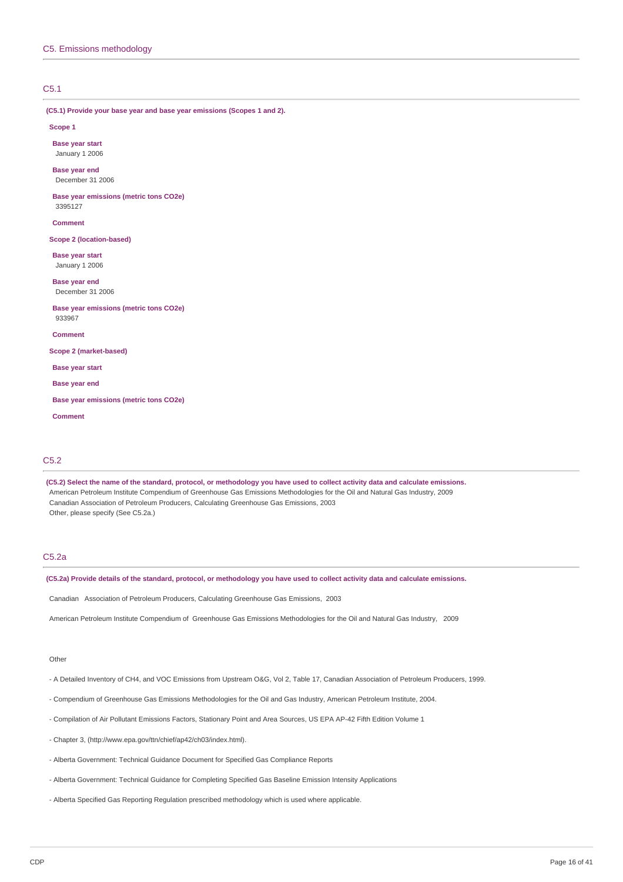# C5.1

**(C5.1) Provide your base year and base year emissions (Scopes 1 and 2).**

#### **Scope 1**

**Base year start** January 1 2006

**Base year end** December 31 2006

**Base year emissions (metric tons CO2e)** 3395127

**Comment**

**Scope 2 (location-based)**

**Base year start** January 1 2006

**Base year end** December 31 2006

**Base year emissions (metric tons CO2e)** 933967

**Comment**

**Scope 2 (market-based)**

**Base year start**

**Base year end**

**Base year emissions (metric tons CO2e)**

**Comment**

### C5.2

(C5.2) Select the name of the standard, protocol, or methodology you have used to collect activity data and calculate emissions. American Petroleum Institute Compendium of Greenhouse Gas Emissions Methodologies for the Oil and Natural Gas Industry, 2009 Canadian Association of Petroleum Producers, Calculating Greenhouse Gas Emissions, 2003 Other, please specify (See C5.2a.)

## C5.2a

(C5.2a) Provide details of the standard, protocol, or methodology you have used to collect activity data and calculate emissions.

Canadian Association of Petroleum Producers, Calculating Greenhouse Gas Emissions, 2003

American Petroleum Institute Compendium of Greenhouse Gas Emissions Methodologies for the Oil and Natural Gas Industry, 2009

### Other

- A Detailed Inventory of CH4, and VOC Emissions from Upstream O&G, Vol 2, Table 17, Canadian Association of Petroleum Producers, 1999.
- Compendium of Greenhouse Gas Emissions Methodologies for the Oil and Gas Industry, American Petroleum Institute, 2004.
- Compilation of Air Pollutant Emissions Factors, Stationary Point and Area Sources, US EPA AP-42 Fifth Edition Volume 1
- Chapter 3, (http://www.epa.gov/ttn/chief/ap42/ch03/index.html).
- Alberta Government: Technical Guidance Document for Specified Gas Compliance Reports
- Alberta Government: Technical Guidance for Completing Specified Gas Baseline Emission Intensity Applications
- Alberta Specified Gas Reporting Regulation prescribed methodology which is used where applicable.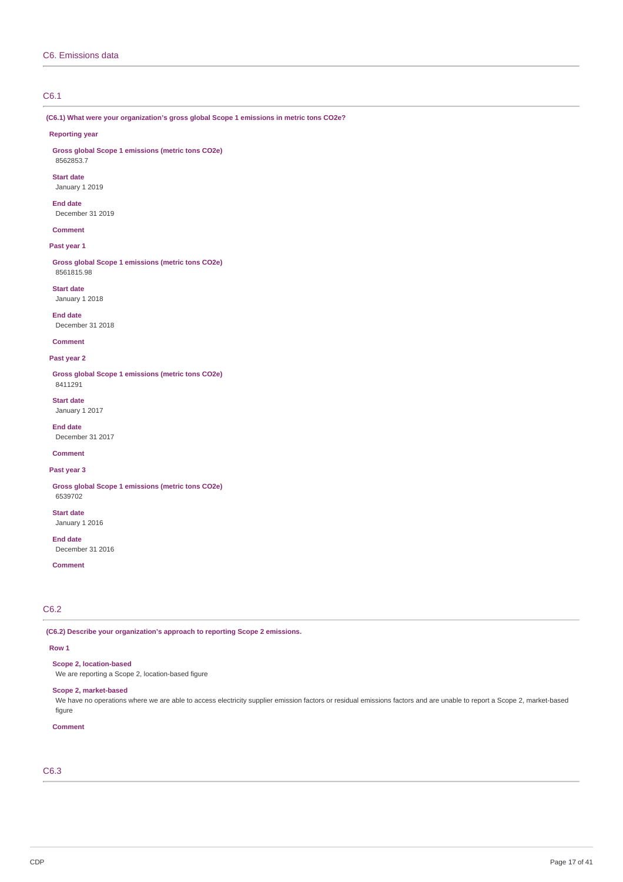# C6.1

**(C6.1) What were your organization's gross global Scope 1 emissions in metric tons CO2e?**

#### **Reporting year**

**Gross global Scope 1 emissions (metric tons CO2e)** 8562853.7

# **Start date**

January 1 2019

### **End date**

December 31 2019

# **Comment**

### **Past year 1**

**Gross global Scope 1 emissions (metric tons CO2e)** 8561815.98

**Start date** January 1 2018

# **End date**

December 31 2018

# **Comment**

#### **Past year 2**

**Gross global Scope 1 emissions (metric tons CO2e)** 8411291

**Start date** January 1 2017

### **End date**

December 31 2017

# **Comment**

# **Past year 3**

**Gross global Scope 1 emissions (metric tons CO2e)** 6539702

**Start date** January 1 2016

**End date** December 31 2016

## **Comment**

# C6.2

**(C6.2) Describe your organization's approach to reporting Scope 2 emissions.**

### **Row 1**

**Scope 2, location-based**

# We are reporting a Scope 2, location-based figure

# **Scope 2, market-based**

We have no operations where we are able to access electricity supplier emission factors or residual emissions factors and are unable to report a Scope 2, market-based figure

# **Comment**

# C6.3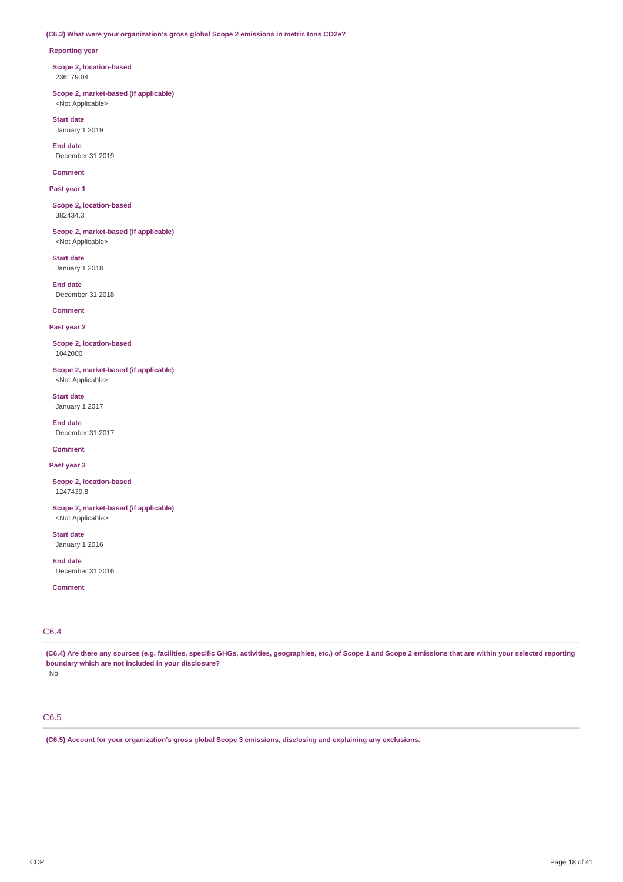### **(C6.3) What were your organization's gross global Scope 2 emissions in metric tons CO2e?**

### **Reporting year**

**Scope 2, location-based** 236179.04

**Scope 2, market-based (if applicable)** <Not Applicable>

**Start date** January 1 2019

**End date** December 31 2019

**Comment**

**Past year 1**

**Scope 2, location-based** 382434.3

**Scope 2, market-based (if applicable)** <Not Applicable>

**Start date** January 1 2018

**End date** December 31 2018

**Comment**

**Past year 2**

**Scope 2, location-based** 1042000

**Scope 2, market-based (if applicable)** <Not Applicable>

**Start date** January 1 2017

**End date** December 31 2017

**Comment**

**Past year 3**

**Scope 2, location-based** 1247439.8

**Scope 2, market-based (if applicable)** <Not Applicable>

**Start date** January 1 2016

**End date** December 31 2016

**Comment**

# C6.4

(C6.4) Are there any sources (e.g. facilities, specific GHGs, activities, geographies, etc.) of Scope 1 and Scope 2 emissions that are within your selected reporting **boundary which are not included in your disclosure?** No

# C6.5

**(C6.5) Account for your organization's gross global Scope 3 emissions, disclosing and explaining any exclusions.**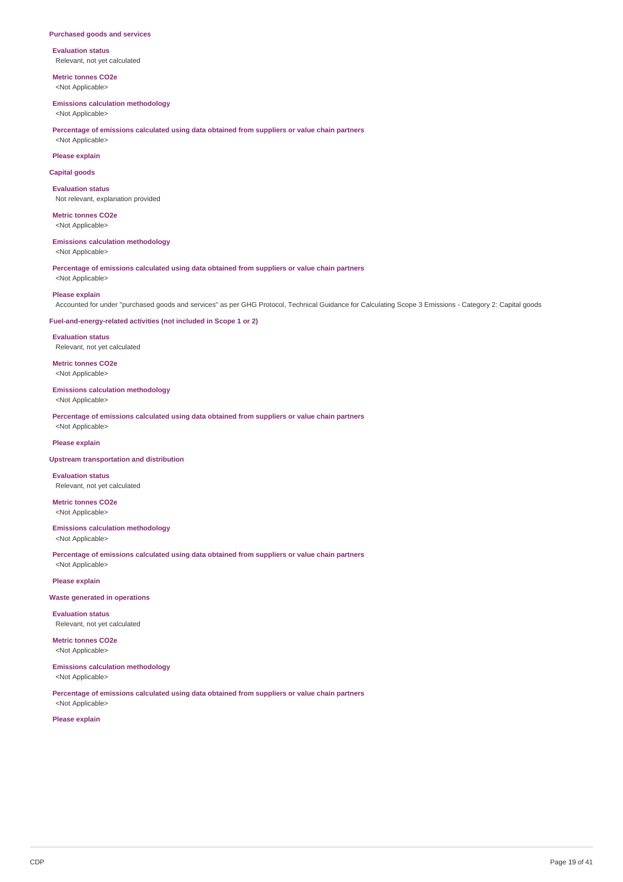#### **Purchased goods and services**

**Evaluation status** Relevant, not yet calculated

**Metric tonnes CO2e** <Not Applicable>

#### **Emissions calculation methodology**

<Not Applicable>

**Percentage of emissions calculated using data obtained from suppliers or value chain partners**

# <Not Applicable> **Please explain**

**Capital goods**

**Evaluation status** Not relevant, explanation provided

**Metric tonnes CO2e** <Not Applicable>

### **Emissions calculation methodology**

<Not Applicable>

**Percentage of emissions calculated using data obtained from suppliers or value chain partners** <Not Applicable>

#### **Please explain**

Accounted for under "purchased goods and services" as per GHG Protocol, Technical Guidance for Calculating Scope 3 Emissions - Category 2: Capital goods

### **Fuel-and-energy-related activities (not included in Scope 1 or 2)**

**Evaluation status** Relevant, not yet calculated

**Metric tonnes CO2e** <Not Applicable>

### **Emissions calculation methodology**

<Not Applicable>

**Percentage of emissions calculated using data obtained from suppliers or value chain partners** <Not Applicable>

#### **Please explain**

#### **Upstream transportation and distribution**

**Evaluation status** Relevant, not yet calculated

**Metric tonnes CO2e** <Not Applicable>

### **Emissions calculation methodology**

<Not Applicable>

**Percentage of emissions calculated using data obtained from suppliers or value chain partners** <Not Applicable>

#### **Please explain**

#### **Waste generated in operations**

**Evaluation status** Relevant, not yet calculated

**Metric tonnes CO2e** <Not Applicable>

#### **Emissions calculation methodology** <Not Applicable>

**Percentage of emissions calculated using data obtained from suppliers or value chain partners** <Not Applicable>

### **Please explain**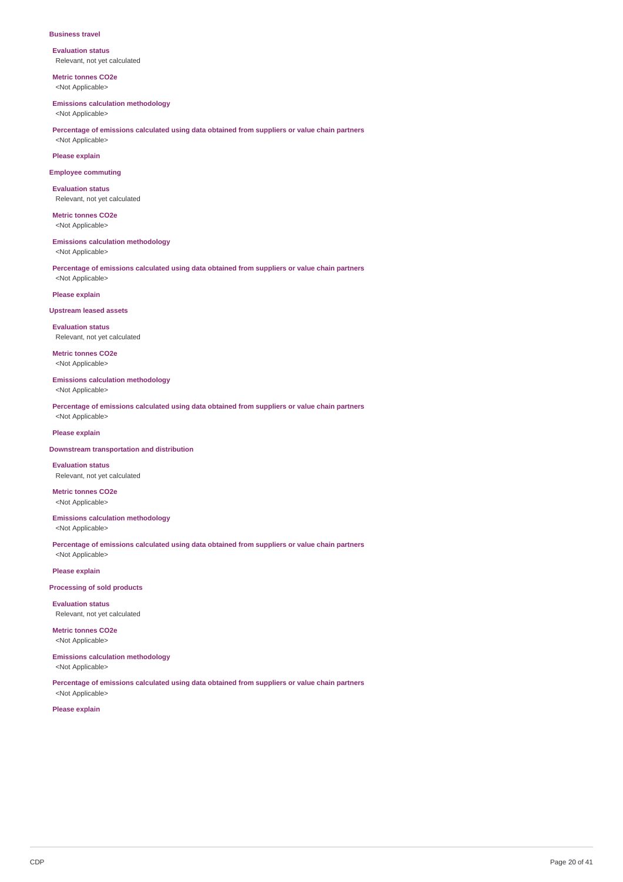#### **Business travel**

**Evaluation status** Relevant, not yet calculated

**Metric tonnes CO2e** <Not Applicable>

#### **Emissions calculation methodology**

<Not Applicable>

### **Percentage of emissions calculated using data obtained from suppliers or value chain partners** <Not Applicable>

**Please explain**

#### **Employee commuting**

**Evaluation status** Relevant, not yet calculated

**Metric tonnes CO2e** <Not Applicable>

### **Emissions calculation methodology**

<Not Applicable>

**Percentage of emissions calculated using data obtained from suppliers or value chain partners** <Not Applicable>

### **Please explain**

### **Upstream leased assets**

**Evaluation status** Relevant, not yet calculated

**Metric tonnes CO2e** <Not Applicable>

### **Emissions calculation methodology**

<Not Applicable>

**Percentage of emissions calculated using data obtained from suppliers or value chain partners** <Not Applicable>

### **Please explain**

#### **Downstream transportation and distribution**

**Evaluation status** Relevant, not yet calculated

**Metric tonnes CO2e** <Not Applicable>

### **Emissions calculation methodology** <Not Applicable>

**Percentage of emissions calculated using data obtained from suppliers or value chain partners** <Not Applicable>

# **Please explain**

**Processing of sold products**

**Evaluation status** Relevant, not yet calculated

**Metric tonnes CO2e** <Not Applicable>

# **Emissions calculation methodology**

<Not Applicable>

**Percentage of emissions calculated using data obtained from suppliers or value chain partners** <Not Applicable>

**Please explain**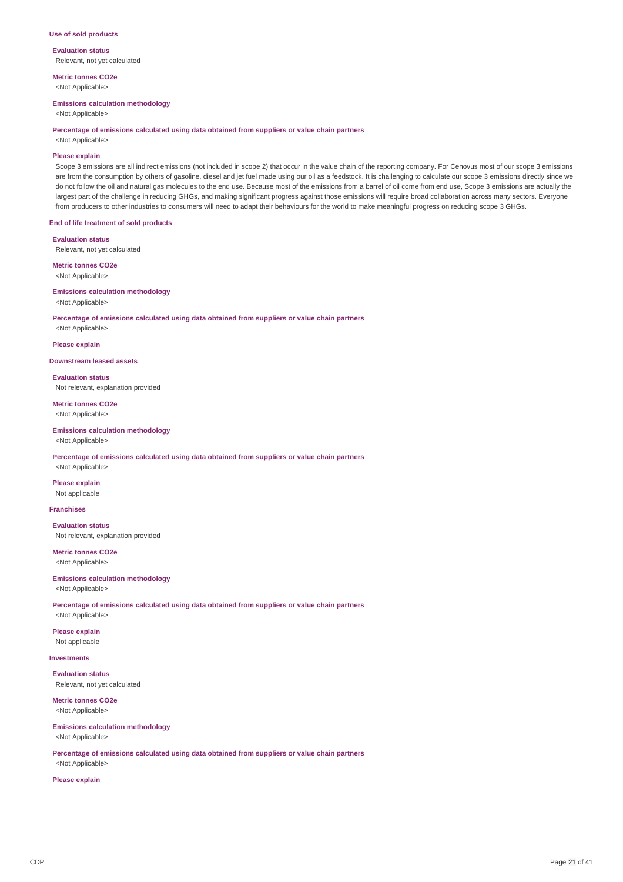#### **Use of sold products**

**Evaluation status** Relevant, not yet calculated

**Metric tonnes CO2e** <Not Applicable>

#### **Emissions calculation methodology**

<Not Applicable>

#### **Percentage of emissions calculated using data obtained from suppliers or value chain partners**

<Not Applicable>

### **Please explain**

Scope 3 emissions are all indirect emissions (not included in scope 2) that occur in the value chain of the reporting company. For Cenovus most of our scope 3 emissions are from the consumption by others of gasoline, diesel and jet fuel made using our oil as a feedstock. It is challenging to calculate our scope 3 emissions directly since we do not follow the oil and natural gas molecules to the end use. Because most of the emissions from a barrel of oil come from end use, Scope 3 emissions are actually the largest part of the challenge in reducing GHGs, and making significant progress against those emissions will require broad collaboration across many sectors. Everyone from producers to other industries to consumers will need to adapt their behaviours for the world to make meaningful progress on reducing scope 3 GHGs.

**End of life treatment of sold products**

### **Evaluation status**

Relevant, not yet calculated

#### **Metric tonnes CO2e**

<Not Applicable>

### **Emissions calculation methodology**

<Not Applicable>

**Percentage of emissions calculated using data obtained from suppliers or value chain partners**

# <Not Applicable> **Please explain**

**Downstream leased assets**

**Evaluation status** Not relevant, explanation provided

**Metric tonnes CO2e** <Not Applicable>

## **Emissions calculation methodology**

<Not Applicable>

**Percentage of emissions calculated using data obtained from suppliers or value chain partners** <Not Applicable>

**Please explain**

Not applicable

### **Franchises**

**Evaluation status** Not relevant, explanation provided

**Metric tonnes CO2e** <Not Applicable>

### **Emissions calculation methodology**

<Not Applicable>

**Percentage of emissions calculated using data obtained from suppliers or value chain partners** <Not Applicable>

# **Please explain**

Not applicable

**Investments**

**Evaluation status** Relevant, not yet calculated

**Metric tonnes CO2e** <Not Applicable>

### **Emissions calculation methodology**

<Not Applicable>

**Percentage of emissions calculated using data obtained from suppliers or value chain partners** <Not Applicable>

#### **Please explain**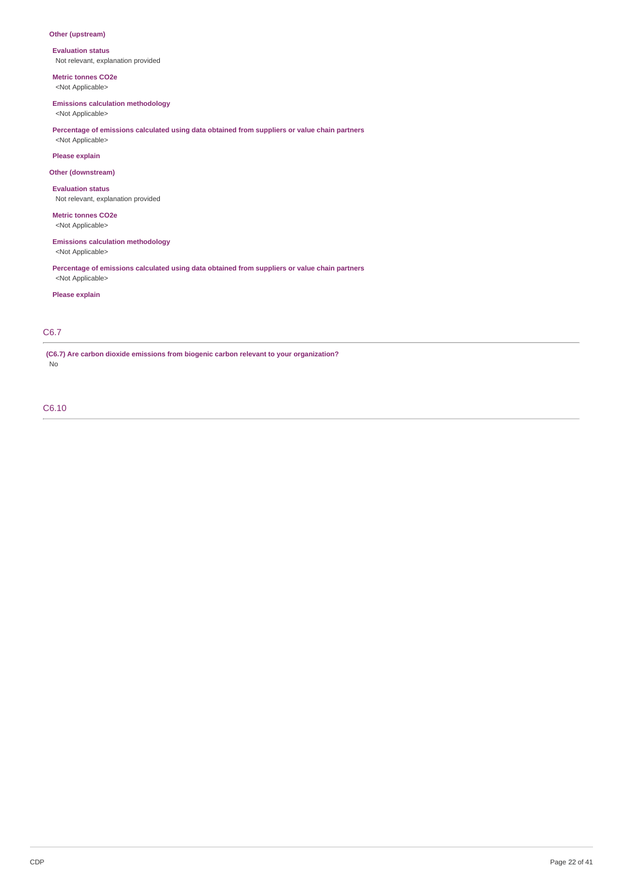## **Other (upstream)**

**Evaluation status** Not relevant, explanation provided

**Metric tonnes CO2e** <Not Applicable>

### **Emissions calculation methodology**

<Not Applicable>

## **Percentage of emissions calculated using data obtained from suppliers or value chain partners**

<Not Applicable>

# **Please explain**

### **Other (downstream)**

**Evaluation status** Not relevant, explanation provided

**Metric tonnes CO2e** <Not Applicable>

## **Emissions calculation methodology**

<Not Applicable>

**Percentage of emissions calculated using data obtained from suppliers or value chain partners** <Not Applicable>

### **Please explain**

## C6.7

**(C6.7) Are carbon dioxide emissions from biogenic carbon relevant to your organization?** No

C6.10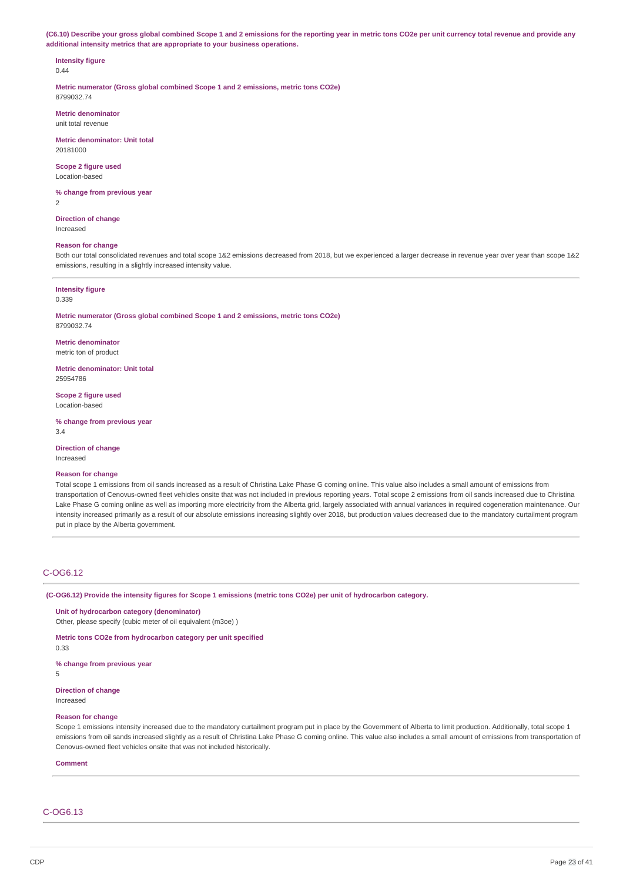(C6.10) Describe your gross global combined Scope 1 and 2 emissions for the reporting year in metric tons CO2e per unit currency total revenue and provide any **additional intensity metrics that are appropriate to your business operations.**

# **Intensity figure**

0.44

**Metric numerator (Gross global combined Scope 1 and 2 emissions, metric tons CO2e)** 8799032.74

**Metric denominator** unit total revenue

**Metric denominator: Unit total** 20181000

**Scope 2 figure used** Location-based

**% change from previous year** 2

**Direction of change** Increased

### **Reason for change**

Both our total consolidated revenues and total scope 1&2 emissions decreased from 2018, but we experienced a larger decrease in revenue year over year than scope 1&2 emissions, resulting in a slightly increased intensity value.

#### **Intensity figure**

0.339

**Metric numerator (Gross global combined Scope 1 and 2 emissions, metric tons CO2e)** 8799032.74

**Metric denominator** metric ton of product

**Metric denominator: Unit total** 25954786

**Scope 2 figure used** Location-based

**% change from previous year** 3.4

**Direction of change** Increased

### **Reason for change**

Total scope 1 emissions from oil sands increased as a result of Christina Lake Phase G coming online. This value also includes a small amount of emissions from transportation of Cenovus-owned fleet vehicles onsite that was not included in previous reporting years. Total scope 2 emissions from oil sands increased due to Christina Lake Phase G coming online as well as importing more electricity from the Alberta grid, largely associated with annual variances in required cogeneration maintenance. Our intensity increased primarily as a result of our absolute emissions increasing slightly over 2018, but production values decreased due to the mandatory curtailment program put in place by the Alberta government.

### C-OG6.12

(C-OG6.12) Provide the intensity figures for Scope 1 emissions (metric tons CO2e) per unit of hydrocarbon category.

**Unit of hydrocarbon category (denominator)** Other, please specify (cubic meter of oil equivalent (m3oe) )

**Metric tons CO2e from hydrocarbon category per unit specified** 0.33

**% change from previous year**

5

**Direction of change** Increased

#### **Reason for change**

Scope 1 emissions intensity increased due to the mandatory curtailment program put in place by the Government of Alberta to limit production. Additionally, total scope 1 emissions from oil sands increased slightly as a result of Christina Lake Phase G coming online. This value also includes a small amount of emissions from transportation of Cenovus-owned fleet vehicles onsite that was not included historically.

**Comment**

# C-OG6.13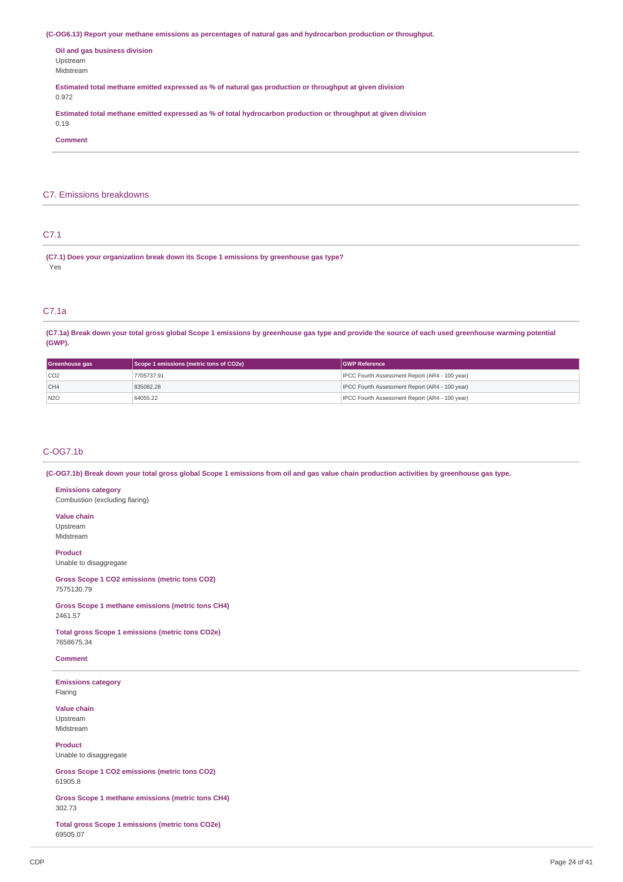**(C-OG6.13) Report your methane emissions as percentages of natural gas and hydrocarbon production or throughput.**

**Oil and gas business division** Upstream Midstream

**Estimated total methane emitted expressed as % of natural gas production or throughput at given division** 0.972

**Estimated total methane emitted expressed as % of total hydrocarbon production or throughput at given division** 0.19

**Comment**

### C7. Emissions breakdowns

# C7.1

**(C7.1) Does your organization break down its Scope 1 emissions by greenhouse gas type?** Yes

## C7.1a

(C7.1a) Break down your total gross global Scope 1 emissions by greenhouse gas type and provide the source of each used greenhouse warming potential **(GWP).**

| Greenhouse gas | Scope 1 emissions (metric tons of CO2e) | <b>GWP Reference</b>                                  |  |
|----------------|-----------------------------------------|-------------------------------------------------------|--|
| CO2            | 7705737.91                              | IPCC Fourth Assessment Report (AR4 - 100 year)        |  |
| CH4            | 835082.28                               | <b>IPCC Fourth Assessment Report (AR4 - 100 year)</b> |  |
| N2O            | 64055.22                                | IPCC Fourth Assessment Report (AR4 - 100 year)        |  |

### C-OG7.1b

(C-OG7.1b) Break down your total gross global Scope 1 emissions from oil and gas value chain production activities by greenhouse gas type.

### **Emissions category**

Combustion (excluding flaring)

**Value chain** Upstream

Midstream

### **Product**

Unable to disaggregate

### **Gross Scope 1 CO2 emissions (metric tons CO2)** 7575130.79

**Gross Scope 1 methane emissions (metric tons CH4)** 2461.57

**Total gross Scope 1 emissions (metric tons CO2e)** 7658675.34

### **Comment**

**Emissions category** Flaring

# **Value chain**

Upstream Midstream

**Product** Unable to disaggregate

**Gross Scope 1 CO2 emissions (metric tons CO2)** 61905.8

**Gross Scope 1 methane emissions (metric tons CH4)** 302.73

**Total gross Scope 1 emissions (metric tons CO2e)** 69505.07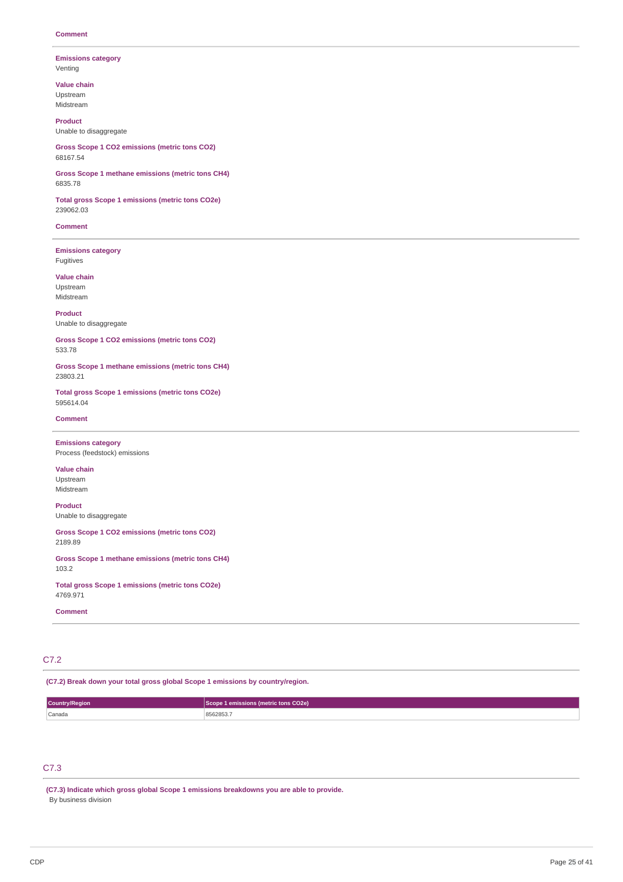#### **Emissions category** Venting

**Value chain**

Upstream Midstream

**Product** Unable to disaggregate

**Gross Scope 1 CO2 emissions (metric tons CO2)** 68167.54

**Gross Scope 1 methane emissions (metric tons CH4)** 6835.78

**Total gross Scope 1 emissions (metric tons CO2e)** 239062.03

**Comment**

**Emissions category** Fugitives

**Value chain** Upstream Midstream

**Product** Unable to disaggregate

**Gross Scope 1 CO2 emissions (metric tons CO2)** 533.78

**Gross Scope 1 methane emissions (metric tons CH4)** 23803.21

**Total gross Scope 1 emissions (metric tons CO2e)** 595614.04

#### **Comment**

**Emissions category** Process (feedstock) emissions

**Value chain** Upstream Midstream

**Product** Unable to disaggregate

**Gross Scope 1 CO2 emissions (metric tons CO2)** 2189.89

**Gross Scope 1 methane emissions (metric tons CH4)** 103.2

**Total gross Scope 1 emissions (metric tons CO2e)** 4769.971

**Comment**

# C7.2

**(C7.2) Break down your total gross global Scope 1 emissions by country/region.**

| Country/Region | 1 emissions (metric tons CO2e)<br>- Scope 1- |  |  |
|----------------|----------------------------------------------|--|--|
| Canada         | 8562853.7<br>.                               |  |  |

# C7.3

**(C7.3) Indicate which gross global Scope 1 emissions breakdowns you are able to provide.** By business division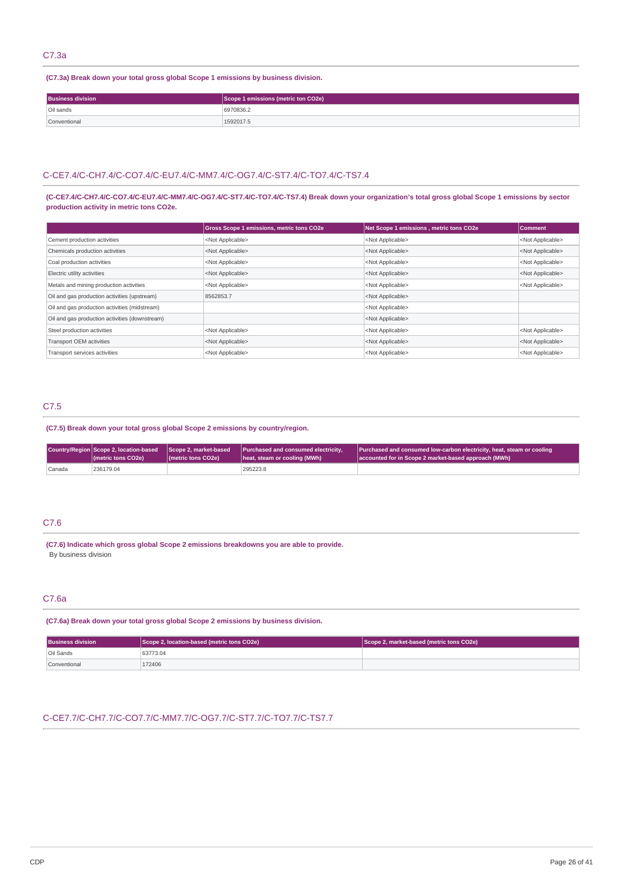### C7.3a

**(C7.3a) Break down your total gross global Scope 1 emissions by business division.**

| <b>Business division</b> | Scope 1 emissions (metric ton CO2e) |  |
|--------------------------|-------------------------------------|--|
| Oil sands                | 6970836.2                           |  |
| Conventional             | 1592017.5                           |  |

### C-CE7.4/C-CH7.4/C-CO7.4/C-EU7.4/C-MM7.4/C-OG7.4/C-ST7.4/C-TO7.4/C-TS7.4

(C-CE7.4/C-CH7.4/C-CO7.4/C-EU7.4/C-MM7.4/C-OG7.4/C-ST7.4/C-TO7.4/C-TS7.4) Break down your organization's total gross global Scope 1 emissions by sector **production activity in metric tons CO2e.**

|                                                | <b>Gross Scope 1 emissions, metric tons CO2e</b> | Net Scope 1 emissions, metric tons CO2e | Comment                   |
|------------------------------------------------|--------------------------------------------------|-----------------------------------------|---------------------------|
| Cement production activities                   | <not applicable=""></not>                        | <not applicable=""></not>               | <not applicable=""></not> |
| Chemicals production activities                | <not applicable=""></not>                        | <not applicable=""></not>               | <not applicable=""></not> |
| Coal production activities                     | <not applicable=""></not>                        | <not applicable=""></not>               | <not applicable=""></not> |
| Electric utility activities                    | <not applicable=""></not>                        | <not applicable=""></not>               | <not applicable=""></not> |
| Metals and mining production activities        | <not applicable=""></not>                        | <not applicable=""></not>               | <not applicable=""></not> |
| Oil and gas production activities (upstream)   | 8562853.7                                        | <not applicable=""></not>               |                           |
| Oil and gas production activities (midstream)  |                                                  | <not applicable=""></not>               |                           |
| Oil and gas production activities (downstream) |                                                  | <not applicable=""></not>               |                           |
| Steel production activities                    | <not applicable=""></not>                        | <not applicable=""></not>               | <not applicable=""></not> |
| Transport OEM activities                       | <not applicable=""></not>                        | <not applicable=""></not>               | <not applicable=""></not> |
| Transport services activities                  | <not applicable=""></not>                        | <not applicable=""></not>               | <not applicable=""></not> |

# C7.5

**(C7.5) Break down your total gross global Scope 2 emissions by country/region.**

|        | Country/Region Scope 2, location-based Scope 2, market-based<br>(metric tons CO2e) | ( <i>I</i> metric tons CO <sub>2</sub> e) | <b>Purchased and consumed electricity,</b><br>heat, steam or cooling (MWh) | Purchased and consumed low-carbon electricity, heat, steam or cooling<br>accounted for in Scope 2 market-based approach (MWh) |
|--------|------------------------------------------------------------------------------------|-------------------------------------------|----------------------------------------------------------------------------|-------------------------------------------------------------------------------------------------------------------------------|
| Canada | 236179.04                                                                          |                                           | 295223.8                                                                   |                                                                                                                               |

# C7.6

**(C7.6) Indicate which gross global Scope 2 emissions breakdowns you are able to provide.** By business division

### C7.6a

**(C7.6a) Break down your total gross global Scope 2 emissions by business division.**

| <b>Business division</b> | Scope 2, location-based (metric tons CO2e) | Scope 2, market-based (metric tons CO2e) |
|--------------------------|--------------------------------------------|------------------------------------------|
| Oil Sands                | 63773.04                                   |                                          |
| Conventional             | 172406                                     |                                          |

# C-CE7.7/C-CH7.7/C-CO7.7/C-MM7.7/C-OG7.7/C-ST7.7/C-TO7.7/C-TS7.7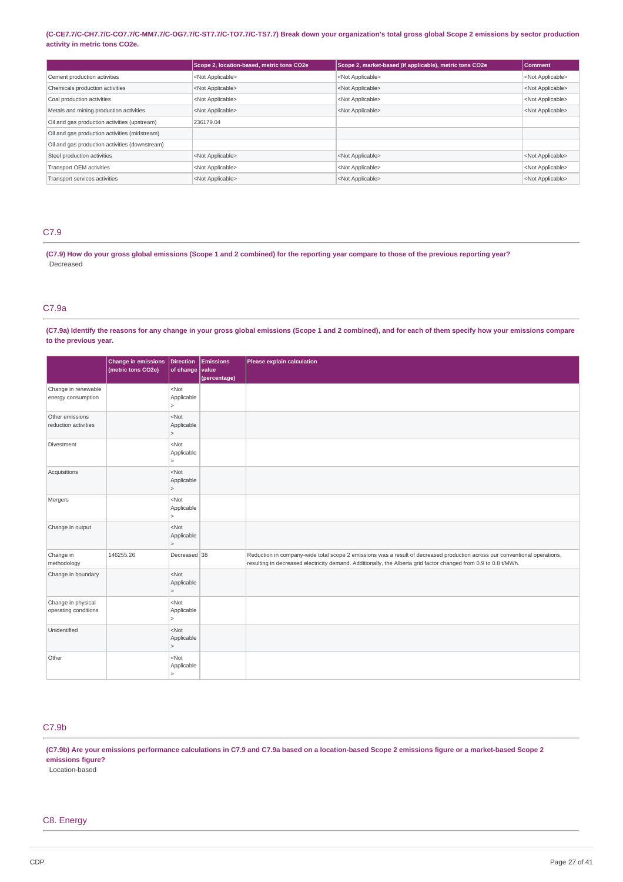### (C-CE7.7/C-CH7.7/C-CO7.7/C-MM7.7/C-OG7.7/C-ST7.7/C-TO7.7/C-TS7.7) Break down your organization's total gross global Scope 2 emissions by sector production **activity in metric tons CO2e.**

|                                                | Scope 2, location-based, metric tons CO2e | Scope 2, market-based (if applicable), metric tons CO2e | Comment                   |
|------------------------------------------------|-------------------------------------------|---------------------------------------------------------|---------------------------|
| Cement production activities                   | <not applicable=""></not>                 | <not applicable=""></not>                               | <not applicable=""></not> |
| Chemicals production activities                | <not applicable=""></not>                 | <not applicable=""></not>                               | <not applicable=""></not> |
| Coal production activities                     | <not applicable=""></not>                 | <not applicable=""></not>                               | <not applicable=""></not> |
| Metals and mining production activities        | <not applicable=""></not>                 | <not applicable=""></not>                               | <not applicable=""></not> |
| Oil and gas production activities (upstream)   | 236179.04                                 |                                                         |                           |
| Oil and gas production activities (midstream)  |                                           |                                                         |                           |
| Oil and gas production activities (downstream) |                                           |                                                         |                           |
| Steel production activities                    | <not applicable=""></not>                 | <not applicable=""></not>                               | <not applicable=""></not> |
| Transport OEM activities                       | <not applicable=""></not>                 | <not applicable=""></not>                               | <not applicable=""></not> |
| Transport services activities                  | <not applicable=""></not>                 | <not applicable=""></not>                               | <not applicable=""></not> |

# C7.9

(C7.9) How do your gross global emissions (Scope 1 and 2 combined) for the reporting year compare to those of the previous reporting year? Decreased

### C7.9a

(C7.9a) Identify the reasons for any change in your gross global emissions (Scope 1 and 2 combined), and for each of them specify how your emissions compare **to the previous year.**

|                                            | <b>Change in emissions</b><br>(metric tons CO2e) | Direction<br>of change           | Emissions<br>value | Please explain calculation                                                                                                                                                                                                                    |
|--------------------------------------------|--------------------------------------------------|----------------------------------|--------------------|-----------------------------------------------------------------------------------------------------------------------------------------------------------------------------------------------------------------------------------------------|
| Change in renewable<br>energy consumption  |                                                  | $<$ Not<br>Applicable<br>$\vert$ | (percentage)       |                                                                                                                                                                                                                                               |
| Other emissions<br>reduction activities    |                                                  | $<$ Not<br>Applicable<br>$\geq$  |                    |                                                                                                                                                                                                                                               |
| <b>Divestment</b>                          |                                                  | $<$ Not<br>Applicable<br>$\vert$ |                    |                                                                                                                                                                                                                                               |
| Acquisitions                               |                                                  | $<$ Not<br>Applicable<br>$\geq$  |                    |                                                                                                                                                                                                                                               |
| Mergers                                    |                                                  | $<$ Not<br>Applicable<br>$\geq$  |                    |                                                                                                                                                                                                                                               |
| Change in output                           |                                                  | $<$ Not<br>Applicable<br>$\geq$  |                    |                                                                                                                                                                                                                                               |
| Change in<br>methodology                   | 146255.26                                        | Decreased 38                     |                    | Reduction in company-wide total scope 2 emissions was a result of decreased production across our conventional operations,<br>resulting in decreased electricity demand. Additionally, the Alberta grid factor changed from 0.9 to 0.8 t/MWh. |
| Change in boundary                         |                                                  | $<$ Not<br>Applicable<br>$\geq$  |                    |                                                                                                                                                                                                                                               |
| Change in physical<br>operating conditions |                                                  | $<$ Not<br>Applicable<br>$\geq$  |                    |                                                                                                                                                                                                                                               |
| Unidentified                               |                                                  | $<$ Not<br>Applicable<br>$\geq$  |                    |                                                                                                                                                                                                                                               |
| Other                                      |                                                  | $<$ Not<br>Applicable<br>$\geq$  |                    |                                                                                                                                                                                                                                               |

# C7.9b

(C7.9b) Are your emissions performance calculations in C7.9 and C7.9a based on a location-based Scope 2 emissions figure or a market-based Scope 2 **emissions figure?**

Location-based

### C8. Energy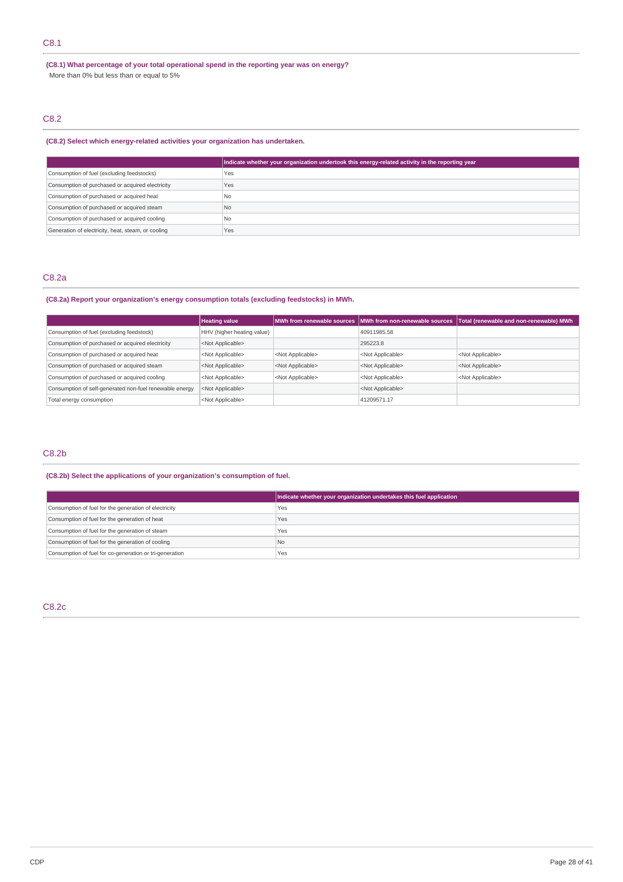# C8.1

**(C8.1) What percentage of your total operational spend in the reporting year was on energy?** More than 0% but less than or equal to 5%

# C8.2

### **(C8.2) Select which energy-related activities your organization has undertaken.**

|                                                    | Indicate whether your organization undertook this energy-related activity in the reporting year |
|----------------------------------------------------|-------------------------------------------------------------------------------------------------|
| Consumption of fuel (excluding feedstocks)         | Yes                                                                                             |
| Consumption of purchased or acquired electricity   | Yes                                                                                             |
| Consumption of purchased or acquired heat          | N <sub>0</sub>                                                                                  |
| Consumption of purchased or acquired steam         | N <sub>0</sub>                                                                                  |
| Consumption of purchased or acquired cooling       | <b>No</b>                                                                                       |
| Generation of electricity, heat, steam, or cooling | Yes                                                                                             |

## C8.2a

### **(C8.2a) Report your organization's energy consumption totals (excluding feedstocks) in MWh.**

|                                                                               | <b>Heating value</b>       |                           |                           | MWh from renewable sources   MWh from non-renewable sources   Total (renewable and non-renewable) MWh |
|-------------------------------------------------------------------------------|----------------------------|---------------------------|---------------------------|-------------------------------------------------------------------------------------------------------|
| Consumption of fuel (excluding feedstock)                                     | HHV (higher heating value) |                           | 40911985.58               |                                                                                                       |
| Consumption of purchased or acquired electricity<br><not applicable=""></not> |                            |                           | 295223.8                  |                                                                                                       |
| Consumption of purchased or acquired heat                                     | <not applicable=""></not>  | <not applicable=""></not> | <not applicable=""></not> | <not applicable=""></not>                                                                             |
| Consumption of purchased or acquired steam                                    | <not applicable=""></not>  | <not applicable=""></not> | <not applicable=""></not> | <not applicable=""></not>                                                                             |
| Consumption of purchased or acquired cooling                                  | <not applicable=""></not>  | <not applicable=""></not> | <not applicable=""></not> | <not applicable=""></not>                                                                             |
| Consumption of self-generated non-fuel renewable energy                       | <not applicable=""></not>  |                           | <not applicable=""></not> |                                                                                                       |
| Total energy consumption                                                      | <not applicable=""></not>  |                           | 41209571.17               |                                                                                                       |

# C8.2b

## **(C8.2b) Select the applications of your organization's consumption of fuel.**

|                                                         | Indicate whether your organization undertakes this fuel application |
|---------------------------------------------------------|---------------------------------------------------------------------|
| Consumption of fuel for the generation of electricity   | Yes                                                                 |
| Consumption of fuel for the generation of heat          | Yes                                                                 |
| Consumption of fuel for the generation of steam         | Yes                                                                 |
| Consumption of fuel for the generation of cooling       | l No                                                                |
| Consumption of fuel for co-generation or tri-generation | Yes                                                                 |

# C8.2c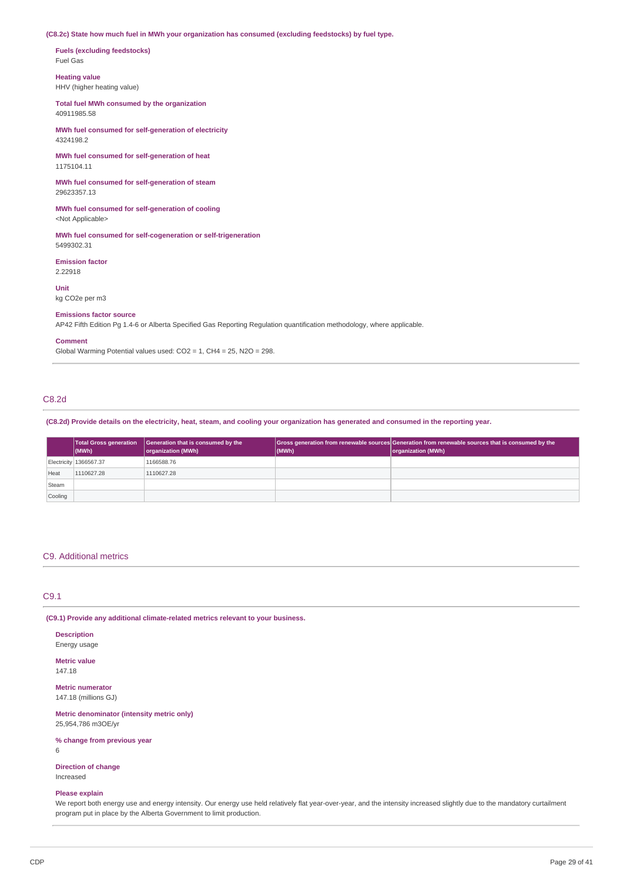## **(C8.2c) State how much fuel in MWh your organization has consumed (excluding feedstocks) by fuel type.**

**Fuels (excluding feedstocks)** Fuel Gas

**Heating value**

HHV (higher heating value)

**Total fuel MWh consumed by the organization** 40911985.58

**MWh fuel consumed for self-generation of electricity** 4324198.2

**MWh fuel consumed for self-generation of heat** 1175104.11

**MWh fuel consumed for self-generation of steam** 29623357.13

**MWh fuel consumed for self-generation of cooling** <Not Applicable>

**MWh fuel consumed for self-cogeneration or self-trigeneration** 5499302.31

**Emission factor** 2.22918

**Unit** kg CO2e per m3

### **Emissions factor source**

AP42 Fifth Edition Pg 1.4-6 or Alberta Specified Gas Reporting Regulation quantification methodology, where applicable.

#### **Comment**

Global Warming Potential values used: CO2 = 1, CH4 = 25, N2O = 298.

### C8.2d

(C8.2d) Provide details on the electricity, heat, steam, and cooling your organization has generated and consumed in the reporting year.

|         | <b>Total Gross generation</b><br>$ $ (MWh) | Generation that is consumed by the<br>organization (MWh) | (MWh) | Gross generation from renewable sources Generation from renewable sources that is consumed by the<br>organization (MWh) |
|---------|--------------------------------------------|----------------------------------------------------------|-------|-------------------------------------------------------------------------------------------------------------------------|
|         | Electricity 1366567.37                     | 1166588.76                                               |       |                                                                                                                         |
| Heat    | 1110627.28                                 | 1110627.28                                               |       |                                                                                                                         |
| Steam   |                                            |                                                          |       |                                                                                                                         |
| Cooling |                                            |                                                          |       |                                                                                                                         |

## C9. Additional metrics

# C9.1

**(C9.1) Provide any additional climate-related metrics relevant to your business.**

**Description**

Energy usage

**Metric value** 147.18

**Metric numerator** 147.18 (millions GJ)

**Metric denominator (intensity metric only)** 25,954,786 m3OE/yr

### **% change from previous year**

6

### **Direction of change**

Increased

### **Please explain**

We report both energy use and energy intensity. Our energy use held relatively flat year-over-year, and the intensity increased slightly due to the mandatory curtailment program put in place by the Alberta Government to limit production.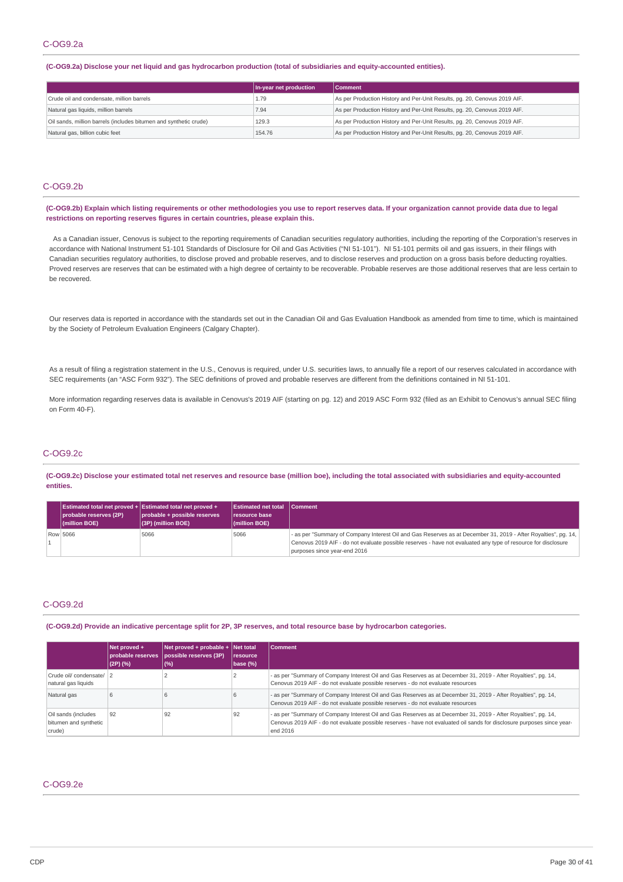#### (C-OG9.2a) Disclose your net liquid and gas hydrocarbon production (total of subsidiaries and equity-accounted entities).

|                                                                   | In-year net production | <b>Comment</b>                                                            |
|-------------------------------------------------------------------|------------------------|---------------------------------------------------------------------------|
| Crude oil and condensate, million barrels                         | 1.79                   | As per Production History and Per-Unit Results, pg. 20, Cenovus 2019 AIF. |
| Natural gas liquids, million barrels                              | 7.94                   | As per Production History and Per-Unit Results, pg. 20, Cenovus 2019 AIF. |
| Oil sands, million barrels (includes bitumen and synthetic crude) | 129.3                  | As per Production History and Per-Unit Results, pg. 20, Cenovus 2019 AIF. |
| Natural gas, billion cubic feet                                   | 154.76                 | As per Production History and Per-Unit Results, pg. 20, Cenovus 2019 AIF. |

## C-OG9.2b

(C-OG9.2b) Explain which listing requirements or other methodologies you use to report reserves data. If your organization cannot provide data due to legal **restrictions on reporting reserves figures in certain countries, please explain this.**

As a Canadian issuer, Cenovus is subject to the reporting requirements of Canadian securities regulatory authorities, including the reporting of the Corporation's reserves in accordance with National Instrument 51-101 Standards of Disclosure for Oil and Gas Activities ("NI 51-101"). NI 51-101 permits oil and gas issuers, in their filings with Canadian securities regulatory authorities, to disclose proved and probable reserves, and to disclose reserves and production on a gross basis before deducting royalties. Proved reserves are reserves that can be estimated with a high degree of certainty to be recoverable. Probable reserves are those additional reserves that are less certain to be recovered.

Our reserves data is reported in accordance with the standards set out in the Canadian Oil and Gas Evaluation Handbook as amended from time to time, which is maintained by the Society of Petroleum Evaluation Engineers (Calgary Chapter).

As a result of filing a registration statement in the U.S., Cenovus is required, under U.S. securities laws, to annually file a report of our reserves calculated in accordance with SEC requirements (an "ASC Form 932"). The SEC definitions of proved and probable reserves are different from the definitions contained in NI 51-101.

More information regarding reserves data is available in Cenovus's 2019 AIF (starting on pg. 12) and 2019 ASC Form 932 (filed as an Exhibit to Cenovus's annual SEC filing on Form 40-F).

# C-OG9.2c

(C-OG9.2c) Disclose your estimated total net reserves and resource base (million boe), including the total associated with subsidiaries and equity-accounted **entities.**

| Estimated total net proved + Estimated total net proved +<br>probable reserves (2P)<br>$ $ (million BOE) | probable + possible reserves<br>$(3P)$ (million BOE) | <b>Estimated net total</b><br>resource base<br>$ $ (million BOE) | <b>Comment</b>                                                                                                                                |
|----------------------------------------------------------------------------------------------------------|------------------------------------------------------|------------------------------------------------------------------|-----------------------------------------------------------------------------------------------------------------------------------------------|
| Row 5066                                                                                                 | 5066                                                 | 5066                                                             | - as per "Summary of Company Interest Oil and Gas Reserves as at December 31, 2019 - After Royalties", pg. 14,                                |
|                                                                                                          |                                                      |                                                                  | Cenovus 2019 AIF - do not evaluate possible reserves - have not evaluated any type of resource for disclosure<br>purposes since year-end 2016 |

### C-OG9.2d

(C-OG9.2d) Provide an indicative percentage split for 2P, 3P reserves, and total resource base by hydrocarbon categories.

|                                                        | $Net proved +$<br> (2P)(%) | $\vert$ Net proved + probable + $\vert$ Net total<br>probable reserves possible reserves (3P)<br>(%) | <b>Iresource</b><br>base (%) | <b>Comment</b>                                                                                                                                                                                                                                        |
|--------------------------------------------------------|----------------------------|------------------------------------------------------------------------------------------------------|------------------------------|-------------------------------------------------------------------------------------------------------------------------------------------------------------------------------------------------------------------------------------------------------|
| Crude oil/ condensate/ 2<br>natural gas liguids        |                            |                                                                                                      |                              | - as per "Summary of Company Interest Oil and Gas Reserves as at December 31, 2019 - After Royalties", pg. 14,<br>Cenovus 2019 AIF - do not evaluate possible reserves - do not evaluate resources                                                    |
| Natural gas                                            | h                          |                                                                                                      |                              | - as per "Summary of Company Interest Oil and Gas Reserves as at December 31, 2019 - After Royalties", pg. 14,<br>Cenovus 2019 AIF - do not evaluate possible reserves - do not evaluate resources                                                    |
| Oil sands (includes<br>bitumen and synthetic<br>crude) | 92                         | 92                                                                                                   | 92                           | - as per "Summary of Company Interest Oil and Gas Reserves as at December 31, 2019 - After Royalties", pg. 14,<br>Cenovus 2019 AIF - do not evaluate possible reserves - have not evaluated oil sands for disclosure purposes since year-<br>end 2016 |

# C-OG9.2e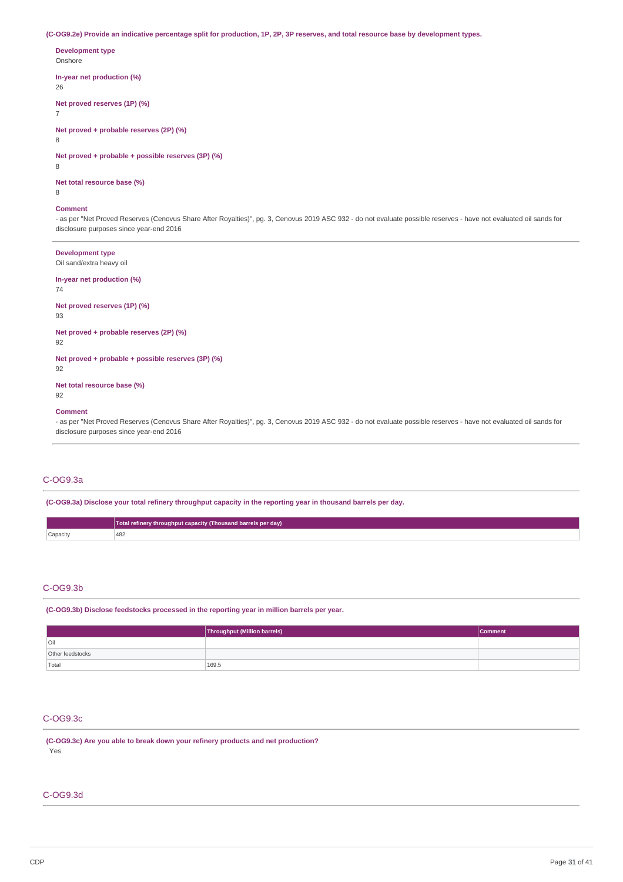(C-OG9.2e) Provide an indicative percentage split for production, 1P, 2P, 3P reserves, and total resource base by development types.

**Development type** Onshore **In-year net production (%)**

26

**Net proved reserves (1P) (%)**

**Net proved + probable reserves (2P) (%)**

8

7

**Net proved + probable + possible reserves (3P) (%)**

8

**Net total resource base (%)**

8

### **Comment**

- as per "Net Proved Reserves (Cenovus Share After Royalties)", pg. 3, Cenovus 2019 ASC 932 - do not evaluate possible reserves - have not evaluated oil sands for disclosure purposes since year-end 2016

### **Development type**

Oil sand/extra heavy oil

### **In-year net production (%)**

74

### **Net proved reserves (1P) (%)**

93

### **Net proved + probable reserves (2P) (%)**

92

### **Net proved + probable + possible reserves (3P) (%)**

92

### **Net total resource base (%)**

92

### **Comment**

- as per "Net Proved Reserves (Cenovus Share After Royalties)", pg. 3, Cenovus 2019 ASC 932 - do not evaluate possible reserves - have not evaluated oil sands for disclosure purposes since year-end 2016

# C-OG9.3a

**(C-OG9.3a) Disclose your total refinery throughput capacity in the reporting year in thousand barrels per day.**

|          | Total refinery throughput capacity (Thousand barrels per day) |
|----------|---------------------------------------------------------------|
| Capacity | 482<br>the contract of the contract of                        |

### C-OG9.3b

**(C-OG9.3b) Disclose feedstocks processed in the reporting year in million barrels per year.**

|                  | Throughput (Million barrels) | Comment |
|------------------|------------------------------|---------|
| l Oil            |                              |         |
| Other feedstocks |                              |         |
| Total            | 169.5                        |         |

# C-OG9.3c

**(C-OG9.3c) Are you able to break down your refinery products and net production?** Yes

### C-OG9.3d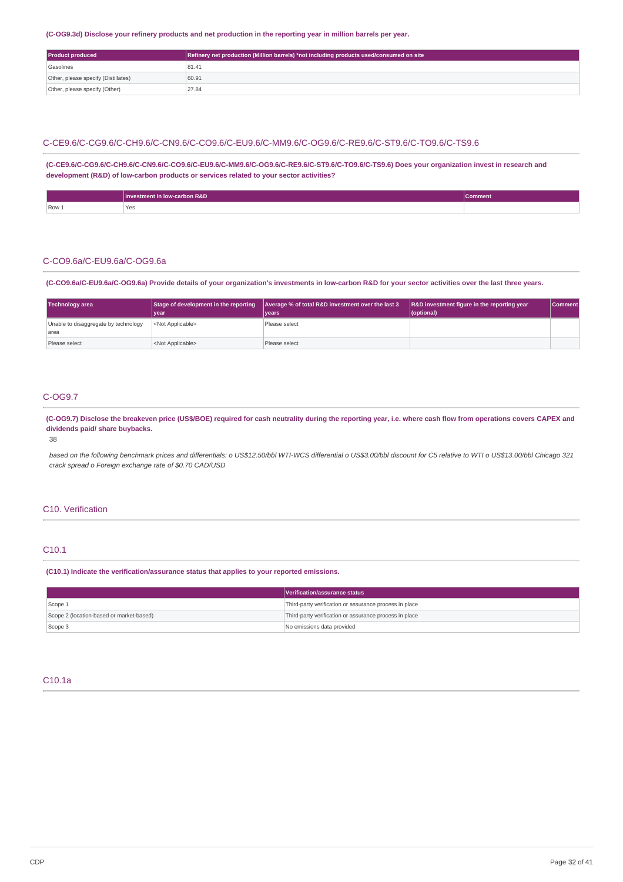## (C-OG9.3d) Disclose your refinery products and net production in the reporting year in million barrels per year.

| Refinery net production (Million barrels) *not including products used/consumed on site<br><b>Product produced</b> |       |
|--------------------------------------------------------------------------------------------------------------------|-------|
| Gasolines                                                                                                          | 81.41 |
| Other, please specify (Distillates)                                                                                | 60.91 |
| Other, please specify (Other)                                                                                      | 27.84 |

## C-CE9.6/C-CG9.6/C-CH9.6/C-CN9.6/C-CO9.6/C-EU9.6/C-MM9.6/C-OG9.6/C-RE9.6/C-ST9.6/C-TO9.6/C-TS9.6

**(C-CE9.6/C-CG9.6/C-CH9.6/C-CN9.6/C-CO9.6/C-EU9.6/C-MM9.6/C-OG9.6/C-RE9.6/C-ST9.6/C-TO9.6/C-TS9.6) Does your organization invest in research and development (R&D) of low-carbon products or services related to your sector activities?**

|       | <b>-carbon R&amp;D</b><br>Inve<br><b>IOW</b><br>:stment | <b>TComment</b> |
|-------|---------------------------------------------------------|-----------------|
| Row 1 | 'Yes<br>$\sim$ $\sim$                                   |                 |

### C-CO9.6a/C-EU9.6a/C-OG9.6a

(C-CO9.6a/C-EU9.6a/C-OG9.6a) Provide details of your organization's investments in low-carbon R&D for your sector activities over the last three years.

| <b>Technology area</b>                        | Stage of development in the reporting<br>vear | Average % of total R&D investment over the last 3<br><b>vears</b> | R&D investment figure in the reporting year<br>(optional) | <b>Comment</b> |
|-----------------------------------------------|-----------------------------------------------|-------------------------------------------------------------------|-----------------------------------------------------------|----------------|
| Unable to disaggregate by technology<br>larea | <not applicable=""></not>                     | Please select                                                     |                                                           |                |
| Please select                                 | <not applicable=""></not>                     | Please select                                                     |                                                           |                |

## C-OG9.7

(C-OG9.7) Disclose the breakeven price (US\$/BOE) required for cash neutrality during the reporting year, i.e. where cash flow from operations covers CAPEX and **dividends paid/ share buybacks.**

38

based on the following benchmark prices and differentials: o US\$12.50/bbl WTI-WCS differential o US\$3.00/bbl discount for C5 relative to WTI o US\$13.00/bbl Chicago 321 *crack spread o Foreign exchange rate of \$0.70 CAD/USD*

# C10. Verification

### C10.1

**(C10.1) Indicate the verification/assurance status that applies to your reported emissions.**

|                                          | Verification/assurance status                          |
|------------------------------------------|--------------------------------------------------------|
| Scope 1                                  | Third-party verification or assurance process in place |
| Scope 2 (location-based or market-based) | Third-party verification or assurance process in place |
| Scope 3                                  | No emissions data provided                             |

# C10.1a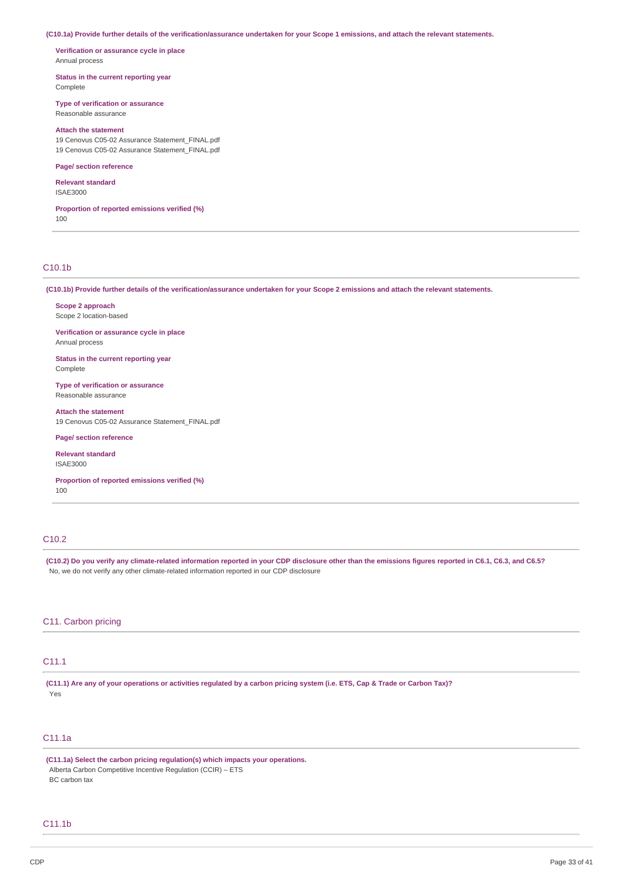(C10.1a) Provide further details of the verification/assurance undertaken for your Scope 1 emissions, and attach the relevant statements.

**Verification or assurance cycle in place** Annual process

**Status in the current reporting year**

Complete

**Type of verification or assurance** Reasonable assurance

# **Attach the statement**

19 Cenovus C05-02 Assurance Statement\_FINAL.pdf 19 Cenovus C05-02 Assurance Statement\_FINAL.pdf

#### **Page/ section reference**

**Relevant standard**

ISAE3000

#### **Proportion of reported emissions verified (%)** 100

# C10.1b

(C10.1b) Provide further details of the verification/assurance undertaken for your Scope 2 emissions and attach the relevant statements.

**Scope 2 approach** Scope 2 location-based

**Verification or assurance cycle in place** Annual process

**Status in the current reporting year** Complete

**Type of verification or assurance** Reasonable assurance

**Attach the statement** 19 Cenovus C05-02 Assurance Statement\_FINAL.pdf

### **Page/ section reference**

**Relevant standard** ISAE3000

**Proportion of reported emissions verified (%)** 100

# C10.2

(C10.2) Do you verify any climate-related information reported in your CDP disclosure other than the emissions figures reported in C6.1, C6.3, and C6.5? No, we do not verify any other climate-related information reported in our CDP disclosure

## C11. Carbon pricing

# C11.1

(C11.1) Are any of your operations or activities regulated by a carbon pricing system (i.e. ETS, Cap & Trade or Carbon Tax)? Yes

# C11.1a

**(C11.1a) Select the carbon pricing regulation(s) which impacts your operations.** Alberta Carbon Competitive Incentive Regulation (CCIR) – ETS BC carbon tax

### C11.1b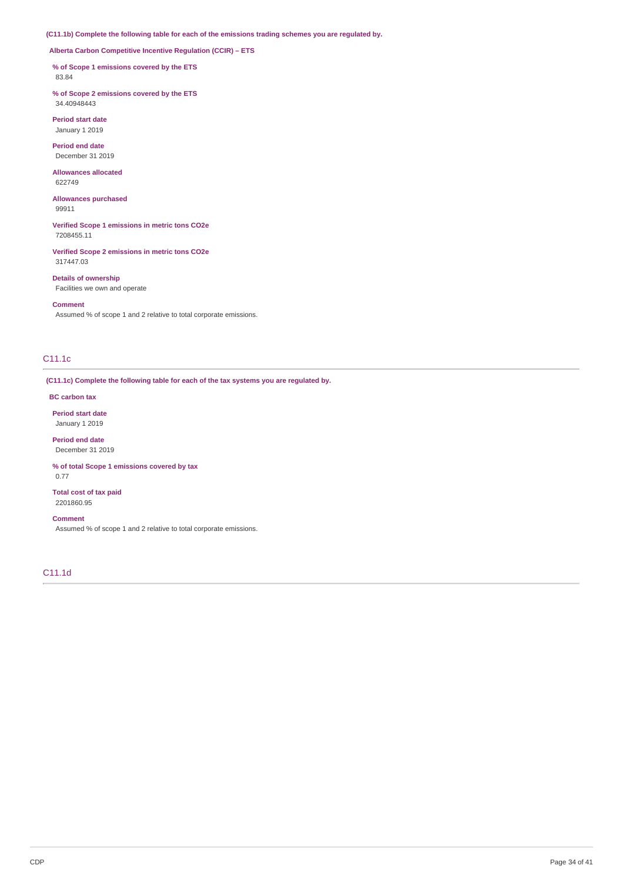**(C11.1b) Complete the following table for each of the emissions trading schemes you are regulated by.**

**Alberta Carbon Competitive Incentive Regulation (CCIR) – ETS**

**% of Scope 1 emissions covered by the ETS**

83.84

**% of Scope 2 emissions covered by the ETS** 34.40948443

**Period start date** January 1 2019

**Period end date** December 31 2019

**Allowances allocated** 622749

**Allowances purchased** 99911

**Verified Scope 1 emissions in metric tons CO2e** 7208455.11

**Verified Scope 2 emissions in metric tons CO2e** 317447.03

**Details of ownership** Facilities we own and operate

#### **Comment**

Assumed % of scope 1 and 2 relative to total corporate emissions.

# C11.1c

**(C11.1c) Complete the following table for each of the tax systems you are regulated by.**

### **BC carbon tax**

**Period start date** January 1 2019

**Period end date** December 31 2019

**% of total Scope 1 emissions covered by tax** 0.77

**Total cost of tax paid** 2201860.95

#### **Comment**

Assumed % of scope 1 and 2 relative to total corporate emissions.

C11.1d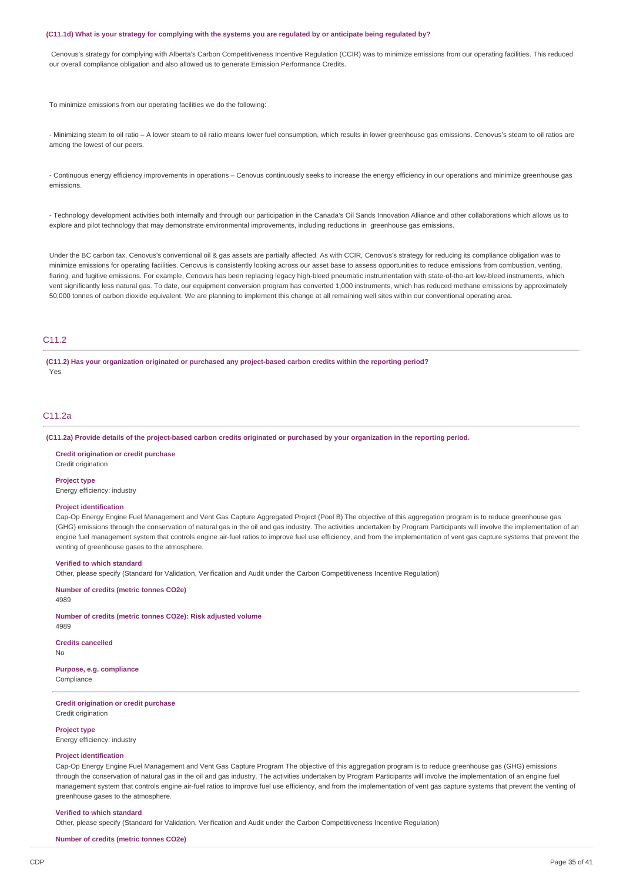#### (C11.1d) What is your strategy for complying with the systems you are regulated by or anticipate being regulated by?

Cenovus's strategy for complying with Alberta's Carbon Competitiveness Incentive Regulation (CCIR) was to minimize emissions from our operating facilities. This reduced our overall compliance obligation and also allowed us to generate Emission Performance Credits.

To minimize emissions from our operating facilities we do the following:

- Minimizing steam to oil ratio – A lower steam to oil ratio means lower fuel consumption, which results in lower greenhouse gas emissions. Cenovus's steam to oil ratios are among the lowest of our peers.

- Continuous energy efficiency improvements in operations – Cenovus continuously seeks to increase the energy efficiency in our operations and minimize greenhouse gas emissions.

- Technology development activities both internally and through our participation in the Canada's Oil Sands Innovation Alliance and other collaborations which allows us to explore and pilot technology that may demonstrate environmental improvements, including reductions in greenhouse gas emissions.

Under the BC carbon tax, Cenovus's conventional oil & gas assets are partially affected. As with CCIR, Cenovus's strategy for reducing its compliance obligation was to minimize emissions for operating facilities. Cenovus is consistently looking across our asset base to assess opportunities to reduce emissions from combustion, venting, flaring, and fugitive emissions. For example, Cenovus has been replacing legacy high-bleed pneumatic instrumentation with state-of-the-art low-bleed instruments, which vent significantly less natural gas. To date, our equipment conversion program has converted 1,000 instruments, which has reduced methane emissions by approximately 50,000 tonnes of carbon dioxide equivalent. We are planning to implement this change at all remaining well sites within our conventional operating area.

# C11.2

**(C11.2) Has your organization originated or purchased any project-based carbon credits within the reporting period?** Yes

## C11.2a

(C11.2a) Provide details of the project-based carbon credits originated or purchased by your organization in the reporting period.

**Credit origination or credit purchase** Credit origination

#### **Project type**

Energy efficiency: industry

### **Project identification**

Cap-Op Energy Engine Fuel Management and Vent Gas Capture Aggregated Project (Pool B) The objective of this aggregation program is to reduce greenhouse gas (GHG) emissions through the conservation of natural gas in the oil and gas industry. The activities undertaken by Program Participants will involve the implementation of an engine fuel management system that controls engine air-fuel ratios to improve fuel use efficiency, and from the implementation of vent gas capture systems that prevent the venting of greenhouse gases to the atmosphere.

#### **Verified to which standard**

Other, please specify (Standard for Validation, Verification and Audit under the Carbon Competitiveness Incentive Regulation)

**Number of credits (metric tonnes CO2e)** 4989

**Number of credits (metric tonnes CO2e): Risk adjusted volume** 4989

**Credits cancelled**

No

**Purpose, e.g. compliance**

Compliance

**Credit origination or credit purchase** Credit origination

**Project type**

Energy efficiency: industry

### **Project identification**

Cap-Op Energy Engine Fuel Management and Vent Gas Capture Program The objective of this aggregation program is to reduce greenhouse gas (GHG) emissions through the conservation of natural gas in the oil and gas industry. The activities undertaken by Program Participants will involve the implementation of an engine fuel management system that controls engine air-fuel ratios to improve fuel use efficiency, and from the implementation of vent gas capture systems that prevent the venting of greenhouse gases to the atmosphere.

#### **Verified to which standard**

Other, please specify (Standard for Validation, Verification and Audit under the Carbon Competitiveness Incentive Regulation)

**Number of credits (metric tonnes CO2e)**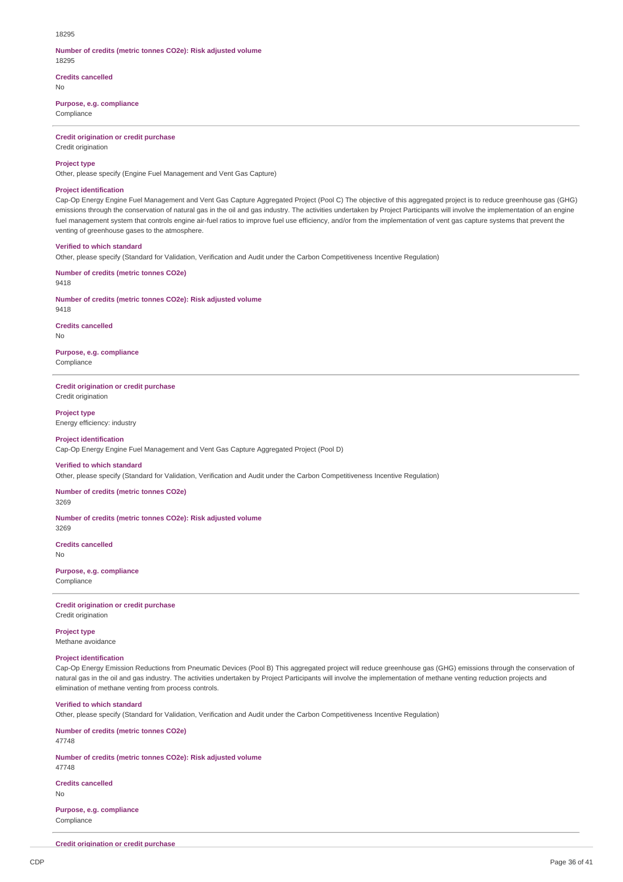#### 18295

#### **Number of credits (metric tonnes CO2e): Risk adjusted volume** 18295

# **Credits cancelled**

No

### **Purpose, e.g. compliance**

Compliance

### **Credit origination or credit purchase**

Credit origination

### **Project type**

Other, please specify (Engine Fuel Management and Vent Gas Capture)

### **Project identification**

Cap-Op Energy Engine Fuel Management and Vent Gas Capture Aggregated Project (Pool C) The objective of this aggregated project is to reduce greenhouse gas (GHG) emissions through the conservation of natural gas in the oil and gas industry. The activities undertaken by Project Participants will involve the implementation of an engine fuel management system that controls engine air-fuel ratios to improve fuel use efficiency, and/or from the implementation of vent gas capture systems that prevent the venting of greenhouse gases to the atmosphere.

### **Verified to which standard**

Other, please specify (Standard for Validation, Verification and Audit under the Carbon Competitiveness Incentive Regulation)

#### **Number of credits (metric tonnes CO2e)** 9418

**Number of credits (metric tonnes CO2e): Risk adjusted volume** 9418

## **Credits cancelled**

No

#### **Purpose, e.g. compliance** Compliance

**Credit origination or credit purchase**

Credit origination

**Project type** Energy efficiency: industry

**Project identification** Cap-Op Energy Engine Fuel Management and Vent Gas Capture Aggregated Project (Pool D)

#### **Verified to which standard**

Other, please specify (Standard for Validation, Verification and Audit under the Carbon Competitiveness Incentive Regulation)

**Number of credits (metric tonnes CO2e)** 3269

**Number of credits (metric tonnes CO2e): Risk adjusted volume** 3269

**Credits cancelled** No

**Purpose, e.g. compliance** Compliance

## **Credit origination or credit purchase**

Credit origination

**Project type** Methane avoidance

## **Project identification**

Cap-Op Energy Emission Reductions from Pneumatic Devices (Pool B) This aggregated project will reduce greenhouse gas (GHG) emissions through the conservation of natural gas in the oil and gas industry. The activities undertaken by Project Participants will involve the implementation of methane venting reduction projects and elimination of methane venting from process controls.

### **Verified to which standard**

Other, please specify (Standard for Validation, Verification and Audit under the Carbon Competitiveness Incentive Regulation)

**Number of credits (metric tonnes CO2e)**

47748

47748

**Number of credits (metric tonnes CO2e): Risk adjusted volume**

# **Credits cancelled**

No

**Purpose, e.g. compliance** Compliance

**Credit origination or credit purchase**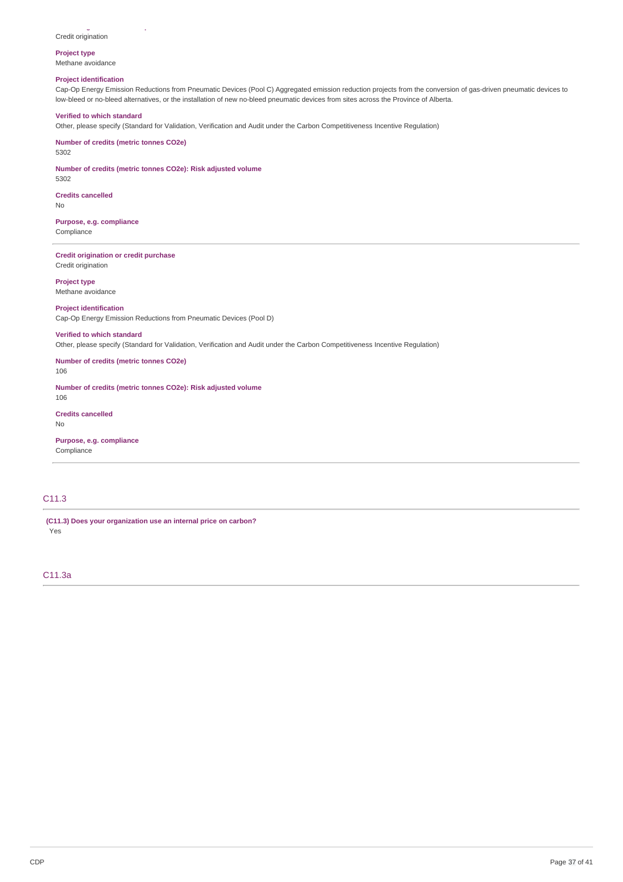#### **Credit origination or credit purchase** Credit origination

### **Project type**

Methane avoidance

# **Project identification**

Cap-Op Energy Emission Reductions from Pneumatic Devices (Pool C) Aggregated emission reduction projects from the conversion of gas-driven pneumatic devices to low-bleed or no-bleed alternatives, or the installation of new no-bleed pneumatic devices from sites across the Province of Alberta.

### **Verified to which standard**

Other, please specify (Standard for Validation, Verification and Audit under the Carbon Competitiveness Incentive Regulation)

**Number of credits (metric tonnes CO2e)**

5302

5302

**Number of credits (metric tonnes CO2e): Risk adjusted volume**

**Credits cancelled** No

**Purpose, e.g. compliance** Compliance

**Credit origination or credit purchase** Credit origination

**Project type** Methane avoidance

#### **Project identification**

Cap-Op Energy Emission Reductions from Pneumatic Devices (Pool D)

#### **Verified to which standard**

Other, please specify (Standard for Validation, Verification and Audit under the Carbon Competitiveness Incentive Regulation)

**Number of credits (metric tonnes CO2e)**

106

**Number of credits (metric tonnes CO2e): Risk adjusted volume** 106

**Credits cancelled**

No

**Purpose, e.g. compliance** Compliance

# C11.3

**(C11.3) Does your organization use an internal price on carbon?** Yes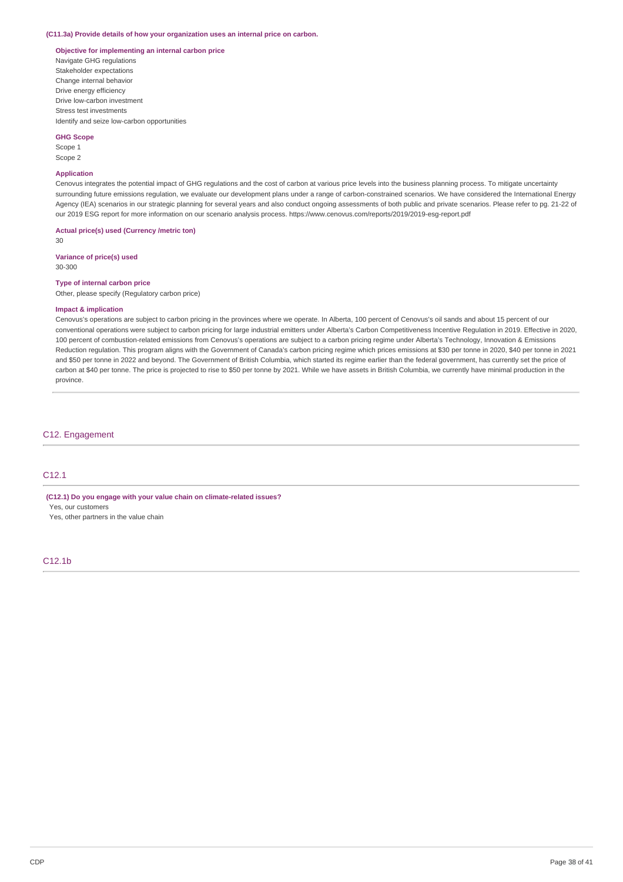#### **(C11.3a) Provide details of how your organization uses an internal price on carbon.**

## **Objective for implementing an internal carbon price**

Navigate GHG regulations Stakeholder expectations Change internal behavior Drive energy efficiency Drive low-carbon investment Stress test investments Identify and seize low-carbon opportunities

#### **GHG Scope**

Scope 1 Scope 2

### **Application**

Cenovus integrates the potential impact of GHG regulations and the cost of carbon at various price levels into the business planning process. To mitigate uncertainty surrounding future emissions regulation, we evaluate our development plans under a range of carbon-constrained scenarios. We have considered the International Energy Agency (IEA) scenarios in our strategic planning for several years and also conduct ongoing assessments of both public and private scenarios. Please refer to pg. 21-22 of our 2019 ESG report for more information on our scenario analysis process. https://www.cenovus.com/reports/2019/2019-esg-report.pdf

**Actual price(s) used (Currency /metric ton)**

30

**Variance of price(s) used** 30-300

### **Type of internal carbon price**

Other, please specify (Regulatory carbon price)

#### **Impact & implication**

Cenovus's operations are subject to carbon pricing in the provinces where we operate. In Alberta, 100 percent of Cenovus's oil sands and about 15 percent of our conventional operations were subject to carbon pricing for large industrial emitters under Alberta's Carbon Competitiveness Incentive Regulation in 2019. Effective in 2020, 100 percent of combustion-related emissions from Cenovus's operations are subject to a carbon pricing regime under Alberta's Technology, Innovation & Emissions Reduction regulation. This program aligns with the Government of Canada's carbon pricing regime which prices emissions at \$30 per tonne in 2020, \$40 per tonne in 2021 and \$50 per tonne in 2022 and beyond. The Government of British Columbia, which started its regime earlier than the federal government, has currently set the price of carbon at \$40 per tonne. The price is projected to rise to \$50 per tonne by 2021. While we have assets in British Columbia, we currently have minimal production in the province.

### C12. Engagement

# C12.1

**(C12.1) Do you engage with your value chain on climate-related issues?**

Yes, our customers

Yes, other partners in the value chain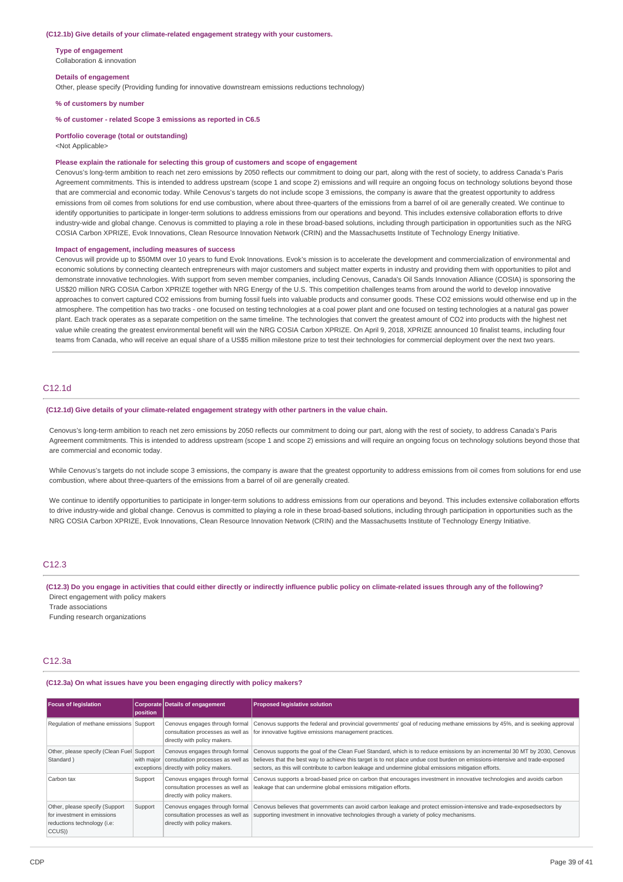#### **(C12.1b) Give details of your climate-related engagement strategy with your customers.**

**Type of engagement** Collaboration & innovation

#### **Details of engagement**

Other, please specify (Providing funding for innovative downstream emissions reductions technology)

**% of customers by number**

#### **% of customer - related Scope 3 emissions as reported in C6.5**

**Portfolio coverage (total or outstanding)**

#### <Not Applicable>

#### **Please explain the rationale for selecting this group of customers and scope of engagement**

Cenovus's long-term ambition to reach net zero emissions by 2050 reflects our commitment to doing our part, along with the rest of society, to address Canada's Paris Agreement commitments. This is intended to address upstream (scope 1 and scope 2) emissions and will require an ongoing focus on technology solutions beyond those that are commercial and economic today. While Cenovus's targets do not include scope 3 emissions, the company is aware that the greatest opportunity to address emissions from oil comes from solutions for end use combustion, where about three-quarters of the emissions from a barrel of oil are generally created. We continue to identify opportunities to participate in longer-term solutions to address emissions from our operations and beyond. This includes extensive collaboration efforts to drive industry-wide and global change. Cenovus is committed to playing a role in these broad-based solutions, including through participation in opportunities such as the NRG COSIA Carbon XPRIZE, Evok Innovations, Clean Resource Innovation Network (CRIN) and the Massachusetts Institute of Technology Energy Initiative.

#### **Impact of engagement, including measures of success**

Cenovus will provide up to \$50MM over 10 years to fund Evok Innovations. Evok's mission is to accelerate the development and commercialization of environmental and economic solutions by connecting cleantech entrepreneurs with major customers and subject matter experts in industry and providing them with opportunities to pilot and demonstrate innovative technologies. With support from seven member companies, including Cenovus, Canada's Oil Sands Innovation Alliance (COSIA) is sponsoring the US\$20 million NRG COSIA Carbon XPRIZE together with NRG Energy of the U.S. This competition challenges teams from around the world to develop innovative approaches to convert captured CO2 emissions from burning fossil fuels into valuable products and consumer goods. These CO2 emissions would otherwise end up in the atmosphere. The competition has two tracks - one focused on testing technologies at a coal power plant and one focused on testing technologies at a natural gas power plant. Each track operates as a separate competition on the same timeline. The technologies that convert the greatest amount of CO2 into products with the highest net value while creating the greatest environmental benefit will win the NRG COSIA Carbon XPRIZE. On April 9, 2018, XPRIZE announced 10 finalist teams, including four teams from Canada, who will receive an equal share of a US\$5 million milestone prize to test their technologies for commercial deployment over the next two years.

# C12.1d

#### **(C12.1d) Give details of your climate-related engagement strategy with other partners in the value chain.**

Cenovus's long-term ambition to reach net zero emissions by 2050 reflects our commitment to doing our part, along with the rest of society, to address Canada's Paris Agreement commitments. This is intended to address upstream (scope 1 and scope 2) emissions and will require an ongoing focus on technology solutions beyond those that are commercial and economic today.

While Cenovus's targets do not include scope 3 emissions, the company is aware that the greatest opportunity to address emissions from oil comes from solutions for end use combustion, where about three-quarters of the emissions from a barrel of oil are generally created.

We continue to identify opportunities to participate in longer-term solutions to address emissions from our operations and beyond. This includes extensive collaboration efforts to drive industry-wide and global change. Cenovus is committed to playing a role in these broad-based solutions, including through participation in opportunities such as the NRG COSIA Carbon XPRIZE, Evok Innovations, Clean Resource Innovation Network (CRIN) and the Massachusetts Institute of Technology Energy Initiative.

### C12.3

#### (C12.3) Do you engage in activities that could either directly or indirectly influence public policy on climate-related issues through any of the following? Direct engagement with policy makers

Trade associations

Funding research organizations

### C12.3a

#### **(C12.3a) On what issues have you been engaging directly with policy makers?**

| <b>Focus of legislation</b>                                                                            | position   | <b>Corporate Details of engagement</b>                                                                         | <b>Proposed legislative solution</b>                                                                                                                                                                                                                                                                                                                                 |
|--------------------------------------------------------------------------------------------------------|------------|----------------------------------------------------------------------------------------------------------------|----------------------------------------------------------------------------------------------------------------------------------------------------------------------------------------------------------------------------------------------------------------------------------------------------------------------------------------------------------------------|
| Regulation of methane emissions Support                                                                |            | Cenovus engages through formal<br>directly with policy makers.                                                 | Cenovus supports the federal and provincial governments' goal of reducing methane emissions by 45%, and is seeking approval<br>consultation processes as well as for innovative fugitive emissions management practices.                                                                                                                                             |
| Other, please specify (Clean Fuel Support<br>Standard)                                                 | with major | Cenovus engages through formal<br>consultation processes as well as<br>exceptions directly with policy makers. | Cenovus supports the goal of the Clean Fuel Standard, which is to reduce emissions by an incremental 30 MT by 2030, Cenovus<br>believes that the best way to achieve this target is to not place undue cost burden on emissions-intensive and trade-exposed<br>sectors, as this will contribute to carbon leakage and undermine global emissions mitigation efforts. |
| Carbon tax                                                                                             | Support    | Cenovus engages through formal<br>consultation processes as well as<br>directly with policy makers.            | Cenovus supports a broad-based price on carbon that encourages investment in innovative technologies and avoids carbon<br>leakage that can undermine global emissions mitigation efforts.                                                                                                                                                                            |
| Other, please specify (Support<br>for investment in emissions<br>reductions technology (i.e:<br>CCUS)) | Support    | Cenovus engages through formal<br>consultation processes as well as<br>directly with policy makers.            | Cenovus believes that governments can avoid carbon leakage and protect emission-intensive and trade-exposedsectors by<br>supporting investment in innovative technologies through a variety of policy mechanisms.                                                                                                                                                    |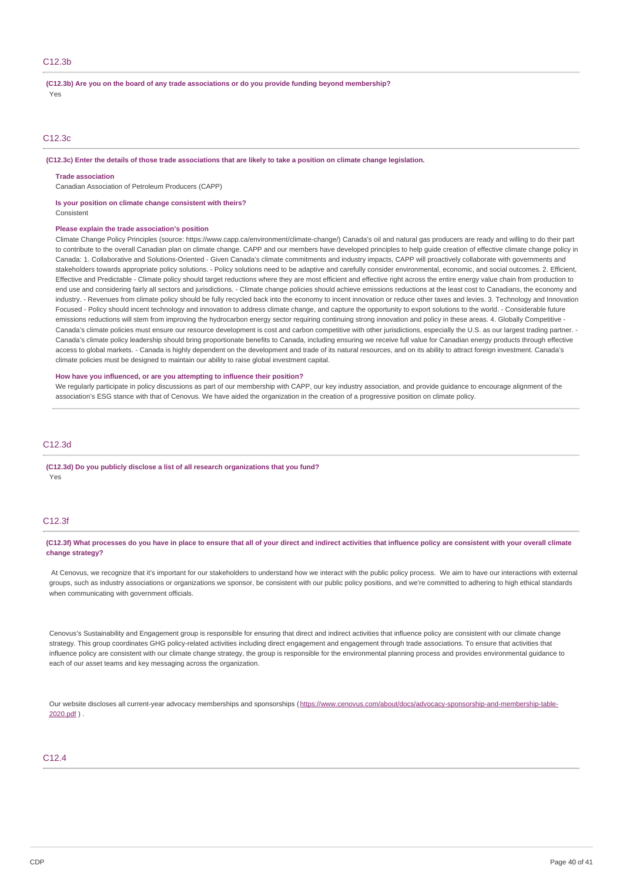## C<sub>12.3b</sub>

**(C12.3b) Are you on the board of any trade associations or do you provide funding beyond membership?** Yes

### C12.3c

#### (C12.3c) Enter the details of those trade associations that are likely to take a position on climate change legislation.

#### **Trade association**

Canadian Association of Petroleum Producers (CAPP)

#### **Is your position on climate change consistent with theirs?**

**Consistent** 

#### **Please explain the trade association's position**

Climate Change Policy Principles (source: https://www.capp.ca/environment/climate-change/) Canada's oil and natural gas producers are ready and willing to do their part to contribute to the overall Canadian plan on climate change. CAPP and our members have developed principles to help guide creation of effective climate change policy in Canada: 1. Collaborative and Solutions-Oriented - Given Canada's climate commitments and industry impacts, CAPP will proactively collaborate with governments and stakeholders towards appropriate policy solutions. - Policy solutions need to be adaptive and carefully consider environmental, economic, and social outcomes. 2. Efficient, Effective and Predictable - Climate policy should target reductions where they are most efficient and effective right across the entire energy value chain from production to end use and considering fairly all sectors and jurisdictions. - Climate change policies should achieve emissions reductions at the least cost to Canadians, the economy and industry. - Revenues from climate policy should be fully recycled back into the economy to incent innovation or reduce other taxes and levies. 3. Technology and Innovation Focused - Policy should incent technology and innovation to address climate change, and capture the opportunity to export solutions to the world. - Considerable future emissions reductions will stem from improving the hydrocarbon energy sector requiring continuing strong innovation and policy in these areas. 4. Globally Competitive -Canada's climate policies must ensure our resource development is cost and carbon competitive with other jurisdictions, especially the U.S. as our largest trading partner. -Canada's climate policy leadership should bring proportionate benefits to Canada, including ensuring we receive full value for Canadian energy products through effective access to global markets. - Canada is highly dependent on the development and trade of its natural resources, and on its ability to attract foreign investment. Canada's climate policies must be designed to maintain our ability to raise global investment capital.

### **How have you influenced, or are you attempting to influence their position?**

We regularly participate in policy discussions as part of our membership with CAPP, our key industry association, and provide guidance to encourage alignment of the association's ESG stance with that of Cenovus. We have aided the organization in the creation of a progressive position on climate policy.

### C12.3d

**(C12.3d) Do you publicly disclose a list of all research organizations that you fund?** Yes

### C12.3f

(C12.3f) What processes do you have in place to ensure that all of your direct and indirect activities that influence policy are consistent with your overall climate **change strategy?**

At Cenovus, we recognize that it's important for our stakeholders to understand how we interact with the public policy process. We aim to have our interactions with external groups, such as industry associations or organizations we sponsor, be consistent with our public policy positions, and we're committed to adhering to high ethical standards when communicating with government officials.

Cenovus's Sustainability and Engagement group is responsible for ensuring that direct and indirect activities that influence policy are consistent with our climate change strategy. This group coordinates GHG policy-related activities including direct engagement and engagement through trade associations. To ensure that activities that influence policy are consistent with our climate change strategy, the group is responsible for the environmental planning process and provides environmental guidance to each of our asset teams and key messaging across the organization.

Our website discloses all current-year advocacy memberships and sponsorships [\(https://www.cenovus.com/about/docs/advocacy-sponsorship-and-membership-table-](https://www.cenovus.com/about/docs/advocacy-sponsorship-and-membership-table-2020.pdf)2020.pdf ) .

#### C12.4